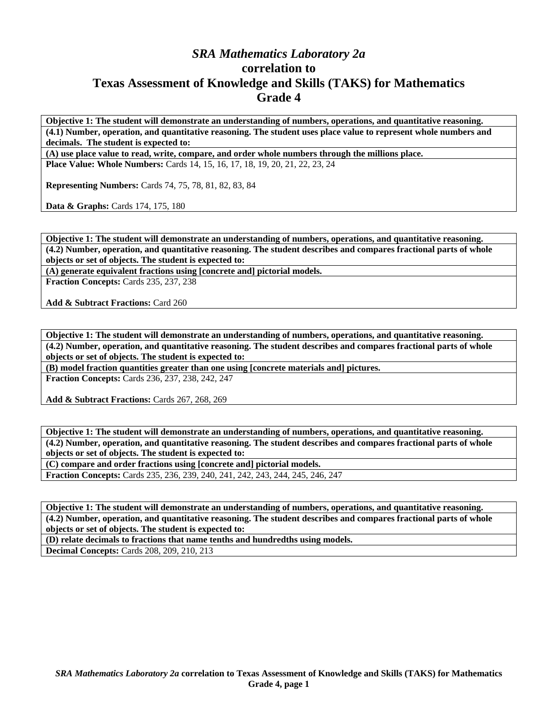## *SRA Mathematics Laboratory 2a*  **correlation to Texas Assessment of Knowledge and Skills (TAKS) for Mathematics Grade 4**

**Objective 1: The student will demonstrate an understanding of numbers, operations, and quantitative reasoning. (4.1) Number, operation, and quantitative reasoning. The student uses place value to represent whole numbers and decimals. The student is expected to:** 

**(A) use place value to read, write, compare, and order whole numbers through the millions place.** 

**Place Value: Whole Numbers:** Cards 14, 15, 16, 17, 18, 19, 20, 21, 22, 23, 24

**Representing Numbers:** Cards 74, 75, 78, 81, 82, 83, 84

**Data & Graphs:** Cards 174, 175, 180

**Objective 1: The student will demonstrate an understanding of numbers, operations, and quantitative reasoning. (4.2) Number, operation, and quantitative reasoning. The student describes and compares fractional parts of whole objects or set of objects. The student is expected to:** 

**(A) generate equivalent fractions using [concrete and] pictorial models.** 

**Fraction Concepts:** Cards 235, 237, 238

**Add & Subtract Fractions:** Card 260

**Objective 1: The student will demonstrate an understanding of numbers, operations, and quantitative reasoning. (4.2) Number, operation, and quantitative reasoning. The student describes and compares fractional parts of whole objects or set of objects. The student is expected to:** 

**(B) model fraction quantities greater than one using [concrete materials and] pictures.** 

**Fraction Concepts:** Cards 236, 237, 238, 242, 247

**Add & Subtract Fractions:** Cards 267, 268, 269

**Objective 1: The student will demonstrate an understanding of numbers, operations, and quantitative reasoning. (4.2) Number, operation, and quantitative reasoning. The student describes and compares fractional parts of whole objects or set of objects. The student is expected to:** 

**(C) compare and order fractions using [concrete and] pictorial models.** 

**Fraction Concepts:** Cards 235, 236, 239, 240, 241, 242, 243, 244, 245, 246, 247

**Objective 1: The student will demonstrate an understanding of numbers, operations, and quantitative reasoning. (4.2) Number, operation, and quantitative reasoning. The student describes and compares fractional parts of whole objects or set of objects. The student is expected to:** 

**(D) relate decimals to fractions that name tenths and hundredths using models. Decimal Concepts:** Cards 208, 209, 210, 213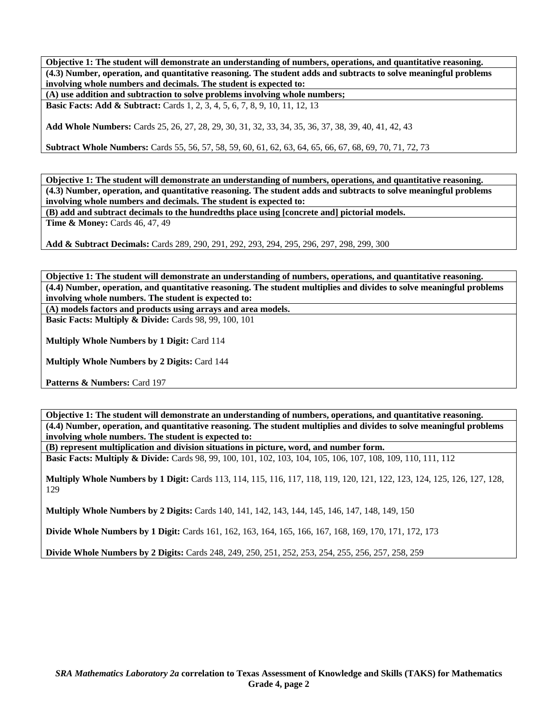**Objective 1: The student will demonstrate an understanding of numbers, operations, and quantitative reasoning. (4.3) Number, operation, and quantitative reasoning. The student adds and subtracts to solve meaningful problems involving whole numbers and decimals. The student is expected to:** 

**(A) use addition and subtraction to solve problems involving whole numbers;** 

**Basic Facts: Add & Subtract:** Cards 1, 2, 3, 4, 5, 6, 7, 8, 9, 10, 11, 12, 13

**Add Whole Numbers:** Cards 25, 26, 27, 28, 29, 30, 31, 32, 33, 34, 35, 36, 37, 38, 39, 40, 41, 42, 43

**Subtract Whole Numbers:** Cards 55, 56, 57, 58, 59, 60, 61, 62, 63, 64, 65, 66, 67, 68, 69, 70, 71, 72, 73

**Objective 1: The student will demonstrate an understanding of numbers, operations, and quantitative reasoning. (4.3) Number, operation, and quantitative reasoning. The student adds and subtracts to solve meaningful problems involving whole numbers and decimals. The student is expected to:** 

**(B) add and subtract decimals to the hundredths place using [concrete and] pictorial models.** 

**Time & Money: Cards 46, 47, 49** 

**Add & Subtract Decimals:** Cards 289, 290, 291, 292, 293, 294, 295, 296, 297, 298, 299, 300

**Objective 1: The student will demonstrate an understanding of numbers, operations, and quantitative reasoning. (4.4) Number, operation, and quantitative reasoning. The student multiplies and divides to solve meaningful problems involving whole numbers. The student is expected to:** 

**(A) models factors and products using arrays and area models.** 

**Basic Facts: Multiply & Divide: Cards 98, 99, 100, 101** 

**Multiply Whole Numbers by 1 Digit:** Card 114

**Multiply Whole Numbers by 2 Digits:** Card 144

Patterns & Numbers: Card 197

**Objective 1: The student will demonstrate an understanding of numbers, operations, and quantitative reasoning. (4.4) Number, operation, and quantitative reasoning. The student multiplies and divides to solve meaningful problems involving whole numbers. The student is expected to:** 

**(B) represent multiplication and division situations in picture, word, and number form.** 

**Basic Facts: Multiply & Divide:** Cards 98, 99, 100, 101, 102, 103, 104, 105, 106, 107, 108, 109, 110, 111, 112

**Multiply Whole Numbers by 1 Digit:** Cards 113, 114, 115, 116, 117, 118, 119, 120, 121, 122, 123, 124, 125, 126, 127, 128, 129

**Multiply Whole Numbers by 2 Digits:** Cards 140, 141, 142, 143, 144, 145, 146, 147, 148, 149, 150

**Divide Whole Numbers by 1 Digit:** Cards 161, 162, 163, 164, 165, 166, 167, 168, 169, 170, 171, 172, 173

**Divide Whole Numbers by 2 Digits:** Cards 248, 249, 250, 251, 252, 253, 254, 255, 256, 257, 258, 259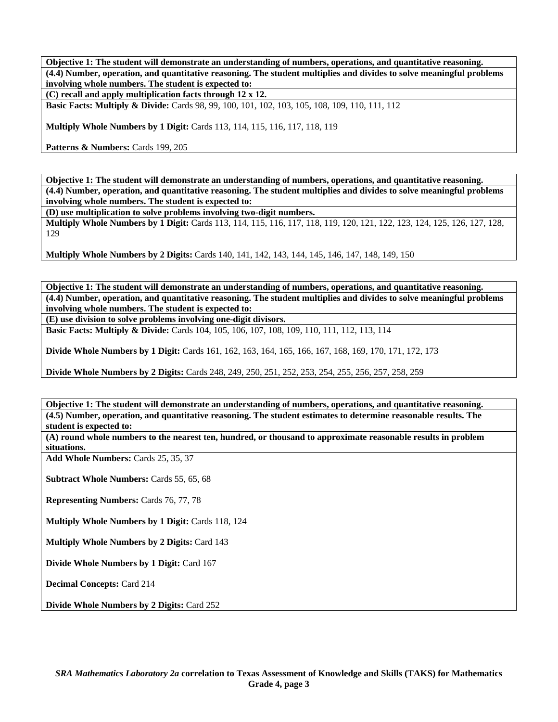**Objective 1: The student will demonstrate an understanding of numbers, operations, and quantitative reasoning. (4.4) Number, operation, and quantitative reasoning. The student multiplies and divides to solve meaningful problems involving whole numbers. The student is expected to:** 

**(C) recall and apply multiplication facts through 12 x 12.** 

**Basic Facts: Multiply & Divide:** Cards 98, 99, 100, 101, 102, 103, 105, 108, 109, 110, 111, 112

**Multiply Whole Numbers by 1 Digit:** Cards 113, 114, 115, 116, 117, 118, 119

Patterns & Numbers: Cards 199, 205

**Objective 1: The student will demonstrate an understanding of numbers, operations, and quantitative reasoning. (4.4) Number, operation, and quantitative reasoning. The student multiplies and divides to solve meaningful problems involving whole numbers. The student is expected to:** 

**(D) use multiplication to solve problems involving two-digit numbers.** 

**Multiply Whole Numbers by 1 Digit:** Cards 113, 114, 115, 116, 117, 118, 119, 120, 121, 122, 123, 124, 125, 126, 127, 128, 129

**Multiply Whole Numbers by 2 Digits:** Cards 140, 141, 142, 143, 144, 145, 146, 147, 148, 149, 150

**Objective 1: The student will demonstrate an understanding of numbers, operations, and quantitative reasoning. (4.4) Number, operation, and quantitative reasoning. The student multiplies and divides to solve meaningful problems involving whole numbers. The student is expected to:** 

**(E) use division to solve problems involving one-digit divisors.** 

**Basic Facts: Multiply & Divide:** Cards 104, 105, 106, 107, 108, 109, 110, 111, 112, 113, 114

**Divide Whole Numbers by 1 Digit:** Cards 161, 162, 163, 164, 165, 166, 167, 168, 169, 170, 171, 172, 173

**Divide Whole Numbers by 2 Digits:** Cards 248, 249, 250, 251, 252, 253, 254, 255, 256, 257, 258, 259

**Objective 1: The student will demonstrate an understanding of numbers, operations, and quantitative reasoning. (4.5) Number, operation, and quantitative reasoning. The student estimates to determine reasonable results. The student is expected to:** 

**(A) round whole numbers to the nearest ten, hundred, or thousand to approximate reasonable results in problem situations.** 

**Add Whole Numbers:** Cards 25, 35, 37

**Subtract Whole Numbers:** Cards 55, 65, 68

**Representing Numbers:** Cards 76, 77, 78

**Multiply Whole Numbers by 1 Digit:** Cards 118, 124

**Multiply Whole Numbers by 2 Digits:** Card 143

**Divide Whole Numbers by 1 Digit:** Card 167

**Decimal Concepts:** Card 214

**Divide Whole Numbers by 2 Digits:** Card 252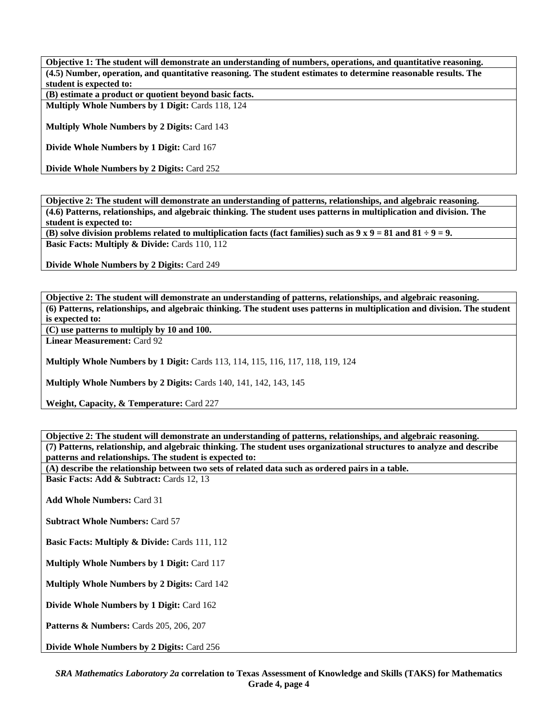**Objective 1: The student will demonstrate an understanding of numbers, operations, and quantitative reasoning. (4.5) Number, operation, and quantitative reasoning. The student estimates to determine reasonable results. The student is expected to:** 

**(B) estimate a product or quotient beyond basic facts.** 

**Multiply Whole Numbers by 1 Digit:** Cards 118, 124

**Multiply Whole Numbers by 2 Digits:** Card 143

**Divide Whole Numbers by 1 Digit:** Card 167

**Divide Whole Numbers by 2 Digits:** Card 252

**Objective 2: The student will demonstrate an understanding of patterns, relationships, and algebraic reasoning. (4.6) Patterns, relationships, and algebraic thinking. The student uses patterns in multiplication and division. The student is expected to:** 

**(B) solve division problems related to multiplication facts (fact families) such as**  $9 \times 9 = 81$  **and**  $81 \div 9 = 9$ **. Basic Facts: Multiply & Divide: Cards 110, 112** 

**Divide Whole Numbers by 2 Digits:** Card 249

**Objective 2: The student will demonstrate an understanding of patterns, relationships, and algebraic reasoning. (6) Patterns, relationships, and algebraic thinking. The student uses patterns in multiplication and division. The student is expected to:** 

**(C) use patterns to multiply by 10 and 100.** 

**Linear Measurement:** Card 92

**Multiply Whole Numbers by 1 Digit:** Cards 113, 114, 115, 116, 117, 118, 119, 124

**Multiply Whole Numbers by 2 Digits:** Cards 140, 141, 142, 143, 145

**Weight, Capacity, & Temperature:** Card 227

**Objective 2: The student will demonstrate an understanding of patterns, relationships, and algebraic reasoning. (7) Patterns, relationship, and algebraic thinking. The student uses organizational structures to analyze and describe patterns and relationships. The student is expected to:** 

**(A) describe the relationship between two sets of related data such as ordered pairs in a table. Basic Facts: Add & Subtract: Cards 12, 13** 

**Add Whole Numbers:** Card 31

**Subtract Whole Numbers:** Card 57

**Basic Facts: Multiply & Divide: Cards 111, 112** 

**Multiply Whole Numbers by 1 Digit:** Card 117

**Multiply Whole Numbers by 2 Digits:** Card 142

**Divide Whole Numbers by 1 Digit:** Card 162

**Patterns & Numbers:** Cards 205, 206, 207

**Divide Whole Numbers by 2 Digits:** Card 256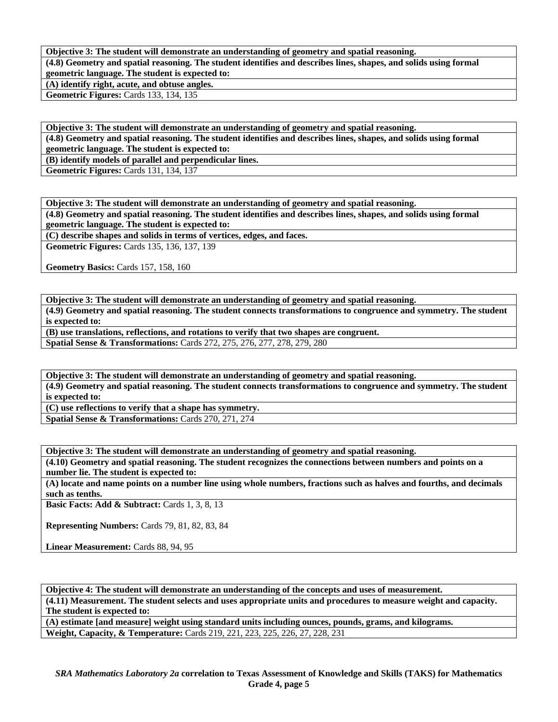**Objective 3: The student will demonstrate an understanding of geometry and spatial reasoning.** 

**(4.8) Geometry and spatial reasoning. The student identifies and describes lines, shapes, and solids using formal geometric language. The student is expected to:** 

**(A) identify right, acute, and obtuse angles.** 

**Geometric Figures:** Cards 133, 134, 135

**Objective 3: The student will demonstrate an understanding of geometry and spatial reasoning. (4.8) Geometry and spatial reasoning. The student identifies and describes lines, shapes, and solids using formal geometric language. The student is expected to:** 

**(B) identify models of parallel and perpendicular lines.** 

**Geometric Figures:** Cards 131, 134, 137

**Objective 3: The student will demonstrate an understanding of geometry and spatial reasoning. (4.8) Geometry and spatial reasoning. The student identifies and describes lines, shapes, and solids using formal geometric language. The student is expected to:** 

**(C) describe shapes and solids in terms of vertices, edges, and faces.** 

**Geometric Figures:** Cards 135, 136, 137, 139

**Geometry Basics:** Cards 157, 158, 160

**Objective 3: The student will demonstrate an understanding of geometry and spatial reasoning. (4.9) Geometry and spatial reasoning. The student connects transformations to congruence and symmetry. The student is expected to:** 

**(B) use translations, reflections, and rotations to verify that two shapes are congruent.** 

**Spatial Sense & Transformations:** Cards 272, 275, 276, 277, 278, 279, 280

**Objective 3: The student will demonstrate an understanding of geometry and spatial reasoning. (4.9) Geometry and spatial reasoning. The student connects transformations to congruence and symmetry. The student is expected to:** 

**(C) use reflections to verify that a shape has symmetry. Spatial Sense & Transformations:** Cards 270, 271, 274

**Objective 3: The student will demonstrate an understanding of geometry and spatial reasoning.** 

**(4.10) Geometry and spatial reasoning. The student recognizes the connections between numbers and points on a number lie. The student is expected to:** 

**(A) locate and name points on a number line using whole numbers, fractions such as halves and fourths, and decimals such as tenths.** 

**Basic Facts: Add & Subtract:** Cards 1, 3, 8, 13

**Representing Numbers:** Cards 79, 81, 82, 83, 84

Linear Measurement: Cards 88, 94, 95

**Objective 4: The student will demonstrate an understanding of the concepts and uses of measurement. (4.11) Measurement. The student selects and uses appropriate units and procedures to measure weight and capacity. The student is expected to:** 

**(A) estimate [and measure] weight using standard units including ounces, pounds, grams, and kilograms. Weight, Capacity, & Temperature:** Cards 219, 221, 223, 225, 226, 27, 228, 231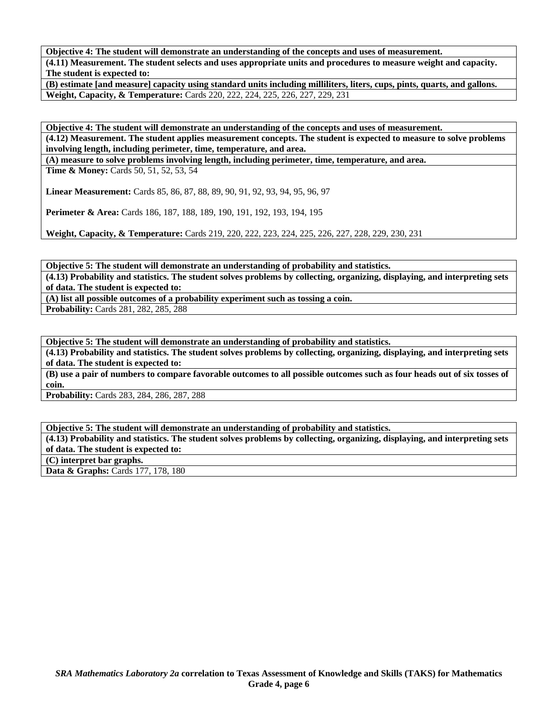**Objective 4: The student will demonstrate an understanding of the concepts and uses of measurement. (4.11) Measurement. The student selects and uses appropriate units and procedures to measure weight and capacity. The student is expected to:** 

**(B) estimate [and measure] capacity using standard units including milliliters, liters, cups, pints, quarts, and gallons. Weight, Capacity, & Temperature:** Cards 220, 222, 224, 225, 226, 227, 229, 231

**Objective 4: The student will demonstrate an understanding of the concepts and uses of measurement. (4.12) Measurement. The student applies measurement concepts. The student is expected to measure to solve problems involving length, including perimeter, time, temperature, and area.** 

**(A) measure to solve problems involving length, including perimeter, time, temperature, and area.** 

**Time & Money:** Cards 50, 51, 52, 53, 54

**Linear Measurement:** Cards 85, 86, 87, 88, 89, 90, 91, 92, 93, 94, 95, 96, 97

**Perimeter & Area:** Cards 186, 187, 188, 189, 190, 191, 192, 193, 194, 195

**Weight, Capacity, & Temperature:** Cards 219, 220, 222, 223, 224, 225, 226, 227, 228, 229, 230, 231

**Objective 5: The student will demonstrate an understanding of probability and statistics. (4.13) Probability and statistics. The student solves problems by collecting, organizing, displaying, and interpreting sets of data. The student is expected to:** 

**(A) list all possible outcomes of a probability experiment such as tossing a coin.** 

**Probability:** Cards 281, 282, 285, 288

**Objective 5: The student will demonstrate an understanding of probability and statistics.** 

**(4.13) Probability and statistics. The student solves problems by collecting, organizing, displaying, and interpreting sets of data. The student is expected to:** 

**(B) use a pair of numbers to compare favorable outcomes to all possible outcomes such as four heads out of six tosses of coin.** 

**Probability:** Cards 283, 284, 286, 287, 288

**Objective 5: The student will demonstrate an understanding of probability and statistics.** 

**(4.13) Probability and statistics. The student solves problems by collecting, organizing, displaying, and interpreting sets of data. The student is expected to:** 

**(C) interpret bar graphs.** 

Data & Graphs: Cards 177, 178, 180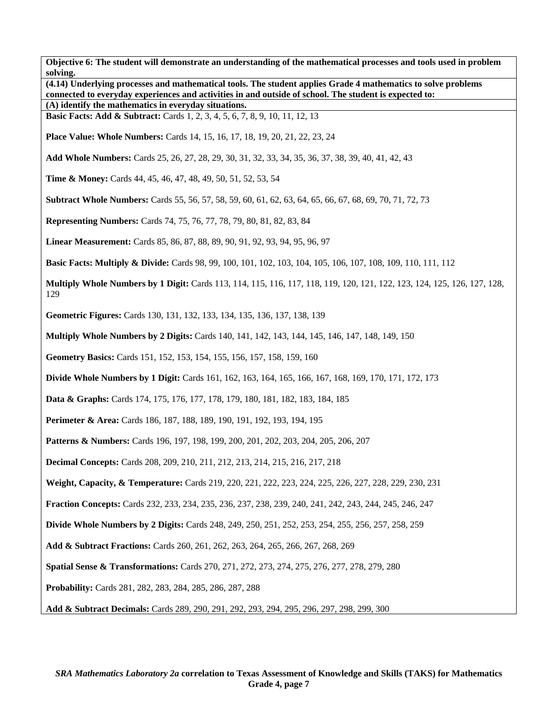**Objective 6: The student will demonstrate an understanding of the mathematical processes and tools used in problem solving. (4.14) Underlying processes and mathematical tools. The student applies Grade 4 mathematics to solve problems connected to everyday experiences and activities in and outside of school. The student is expected to: (A) identify the mathematics in everyday situations. Basic Facts: Add & Subtract:** Cards 1, 2, 3, 4, 5, 6, 7, 8, 9, 10, 11, 12, 13 **Place Value: Whole Numbers:** Cards 14, 15, 16, 17, 18, 19, 20, 21, 22, 23, 24 **Add Whole Numbers:** Cards 25, 26, 27, 28, 29, 30, 31, 32, 33, 34, 35, 36, 37, 38, 39, 40, 41, 42, 43 **Time & Money:** Cards 44, 45, 46, 47, 48, 49, 50, 51, 52, 53, 54 **Subtract Whole Numbers:** Cards 55, 56, 57, 58, 59, 60, 61, 62, 63, 64, 65, 66, 67, 68, 69, 70, 71, 72, 73 **Representing Numbers:** Cards 74, 75, 76, 77, 78, 79, 80, 81, 82, 83, 84 **Linear Measurement:** Cards 85, 86, 87, 88, 89, 90, 91, 92, 93, 94, 95, 96, 97 **Basic Facts: Multiply & Divide:** Cards 98, 99, 100, 101, 102, 103, 104, 105, 106, 107, 108, 109, 110, 111, 112 **Multiply Whole Numbers by 1 Digit:** Cards 113, 114, 115, 116, 117, 118, 119, 120, 121, 122, 123, 124, 125, 126, 127, 128, 129 **Geometric Figures:** Cards 130, 131, 132, 133, 134, 135, 136, 137, 138, 139 **Multiply Whole Numbers by 2 Digits:** Cards 140, 141, 142, 143, 144, 145, 146, 147, 148, 149, 150 **Geometry Basics:** Cards 151, 152, 153, 154, 155, 156, 157, 158, 159, 160 **Divide Whole Numbers by 1 Digit:** Cards 161, 162, 163, 164, 165, 166, 167, 168, 169, 170, 171, 172, 173 **Data & Graphs:** Cards 174, 175, 176, 177, 178, 179, 180, 181, 182, 183, 184, 185 **Perimeter & Area:** Cards 186, 187, 188, 189, 190, 191, 192, 193, 194, 195 Patterns & Numbers: Cards 196, 197, 198, 199, 200, 201, 202, 203, 204, 205, 206, 207 **Decimal Concepts:** Cards 208, 209, 210, 211, 212, 213, 214, 215, 216, 217, 218 **Weight, Capacity, & Temperature:** Cards 219, 220, 221, 222, 223, 224, 225, 226, 227, 228, 229, 230, 231 **Fraction Concepts:** Cards 232, 233, 234, 235, 236, 237, 238, 239, 240, 241, 242, 243, 244, 245, 246, 247 **Divide Whole Numbers by 2 Digits:** Cards 248, 249, 250, 251, 252, 253, 254, 255, 256, 257, 258, 259 **Add & Subtract Fractions:** Cards 260, 261, 262, 263, 264, 265, 266, 267, 268, 269 **Spatial Sense & Transformations:** Cards 270, 271, 272, 273, 274, 275, 276, 277, 278, 279, 280 **Probability:** Cards 281, 282, 283, 284, 285, 286, 287, 288 **Add & Subtract Decimals:** Cards 289, 290, 291, 292, 293, 294, 295, 296, 297, 298, 299, 300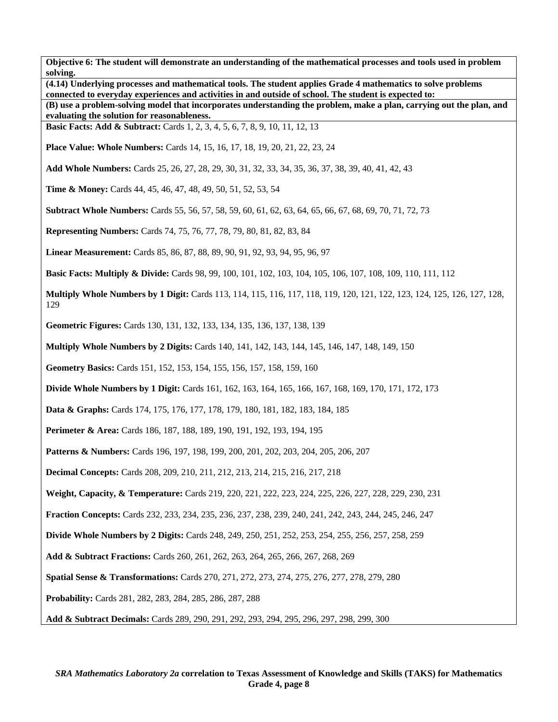**Objective 6: The student will demonstrate an understanding of the mathematical processes and tools used in problem solving. (4.14) Underlying processes and mathematical tools. The student applies Grade 4 mathematics to solve problems connected to everyday experiences and activities in and outside of school. The student is expected to: (B) use a problem-solving model that incorporates understanding the problem, make a plan, carrying out the plan, and evaluating the solution for reasonableness. Basic Facts: Add & Subtract:** Cards 1, 2, 3, 4, 5, 6, 7, 8, 9, 10, 11, 12, 13 **Place Value: Whole Numbers:** Cards 14, 15, 16, 17, 18, 19, 20, 21, 22, 23, 24 **Add Whole Numbers:** Cards 25, 26, 27, 28, 29, 30, 31, 32, 33, 34, 35, 36, 37, 38, 39, 40, 41, 42, 43 **Time & Money:** Cards 44, 45, 46, 47, 48, 49, 50, 51, 52, 53, 54 **Subtract Whole Numbers:** Cards 55, 56, 57, 58, 59, 60, 61, 62, 63, 64, 65, 66, 67, 68, 69, 70, 71, 72, 73 **Representing Numbers:** Cards 74, 75, 76, 77, 78, 79, 80, 81, 82, 83, 84 **Linear Measurement:** Cards 85, 86, 87, 88, 89, 90, 91, 92, 93, 94, 95, 96, 97 **Basic Facts: Multiply & Divide:** Cards 98, 99, 100, 101, 102, 103, 104, 105, 106, 107, 108, 109, 110, 111, 112 **Multiply Whole Numbers by 1 Digit:** Cards 113, 114, 115, 116, 117, 118, 119, 120, 121, 122, 123, 124, 125, 126, 127, 128, 129 **Geometric Figures:** Cards 130, 131, 132, 133, 134, 135, 136, 137, 138, 139 **Multiply Whole Numbers by 2 Digits:** Cards 140, 141, 142, 143, 144, 145, 146, 147, 148, 149, 150 **Geometry Basics:** Cards 151, 152, 153, 154, 155, 156, 157, 158, 159, 160 **Divide Whole Numbers by 1 Digit:** Cards 161, 162, 163, 164, 165, 166, 167, 168, 169, 170, 171, 172, 173 **Data & Graphs:** Cards 174, 175, 176, 177, 178, 179, 180, 181, 182, 183, 184, 185 **Perimeter & Area:** Cards 186, 187, 188, 189, 190, 191, 192, 193, 194, 195 Patterns & Numbers: Cards 196, 197, 198, 199, 200, 201, 202, 203, 204, 205, 206, 207 **Decimal Concepts:** Cards 208, 209, 210, 211, 212, 213, 214, 215, 216, 217, 218 **Weight, Capacity, & Temperature:** Cards 219, 220, 221, 222, 223, 224, 225, 226, 227, 228, 229, 230, 231 **Fraction Concepts:** Cards 232, 233, 234, 235, 236, 237, 238, 239, 240, 241, 242, 243, 244, 245, 246, 247 **Divide Whole Numbers by 2 Digits:** Cards 248, 249, 250, 251, 252, 253, 254, 255, 256, 257, 258, 259 **Add & Subtract Fractions:** Cards 260, 261, 262, 263, 264, 265, 266, 267, 268, 269 **Spatial Sense & Transformations:** Cards 270, 271, 272, 273, 274, 275, 276, 277, 278, 279, 280 **Probability:** Cards 281, 282, 283, 284, 285, 286, 287, 288 **Add & Subtract Decimals:** Cards 289, 290, 291, 292, 293, 294, 295, 296, 297, 298, 299, 300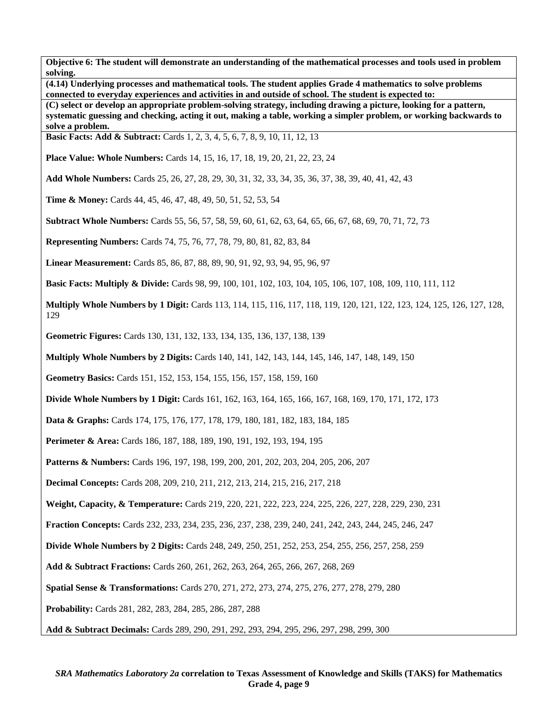**(4.14) Underlying processes and mathematical tools. The student applies Grade 4 mathematics to solve problems connected to everyday experiences and activities in and outside of school. The student is expected to:** 

**(C) select or develop an appropriate problem-solving strategy, including drawing a picture, looking for a pattern, systematic guessing and checking, acting it out, making a table, working a simpler problem, or working backwards to solve a problem.** 

**Basic Facts: Add & Subtract:** Cards 1, 2, 3, 4, 5, 6, 7, 8, 9, 10, 11, 12, 13

**Place Value: Whole Numbers:** Cards 14, 15, 16, 17, 18, 19, 20, 21, 22, 23, 24

**Add Whole Numbers:** Cards 25, 26, 27, 28, 29, 30, 31, 32, 33, 34, 35, 36, 37, 38, 39, 40, 41, 42, 43

**Time & Money:** Cards 44, 45, 46, 47, 48, 49, 50, 51, 52, 53, 54

**Subtract Whole Numbers:** Cards 55, 56, 57, 58, 59, 60, 61, 62, 63, 64, 65, 66, 67, 68, 69, 70, 71, 72, 73

**Representing Numbers:** Cards 74, 75, 76, 77, 78, 79, 80, 81, 82, 83, 84

**Linear Measurement:** Cards 85, 86, 87, 88, 89, 90, 91, 92, 93, 94, 95, 96, 97

**Basic Facts: Multiply & Divide:** Cards 98, 99, 100, 101, 102, 103, 104, 105, 106, 107, 108, 109, 110, 111, 112

**Multiply Whole Numbers by 1 Digit:** Cards 113, 114, 115, 116, 117, 118, 119, 120, 121, 122, 123, 124, 125, 126, 127, 128, 129

**Geometric Figures:** Cards 130, 131, 132, 133, 134, 135, 136, 137, 138, 139

**Multiply Whole Numbers by 2 Digits:** Cards 140, 141, 142, 143, 144, 145, 146, 147, 148, 149, 150

**Geometry Basics:** Cards 151, 152, 153, 154, 155, 156, 157, 158, 159, 160

**Divide Whole Numbers by 1 Digit:** Cards 161, 162, 163, 164, 165, 166, 167, 168, 169, 170, 171, 172, 173

**Data & Graphs:** Cards 174, 175, 176, 177, 178, 179, 180, 181, 182, 183, 184, 185

**Perimeter & Area:** Cards 186, 187, 188, 189, 190, 191, 192, 193, 194, 195

**Patterns & Numbers:** Cards 196, 197, 198, 199, 200, 201, 202, 203, 204, 205, 206, 207

**Decimal Concepts:** Cards 208, 209, 210, 211, 212, 213, 214, 215, 216, 217, 218

**Weight, Capacity, & Temperature:** Cards 219, 220, 221, 222, 223, 224, 225, 226, 227, 228, 229, 230, 231

**Fraction Concepts:** Cards 232, 233, 234, 235, 236, 237, 238, 239, 240, 241, 242, 243, 244, 245, 246, 247

**Divide Whole Numbers by 2 Digits:** Cards 248, 249, 250, 251, 252, 253, 254, 255, 256, 257, 258, 259

**Add & Subtract Fractions:** Cards 260, 261, 262, 263, 264, 265, 266, 267, 268, 269

**Spatial Sense & Transformations:** Cards 270, 271, 272, 273, 274, 275, 276, 277, 278, 279, 280

**Probability:** Cards 281, 282, 283, 284, 285, 286, 287, 288

**Add & Subtract Decimals:** Cards 289, 290, 291, 292, 293, 294, 295, 296, 297, 298, 299, 300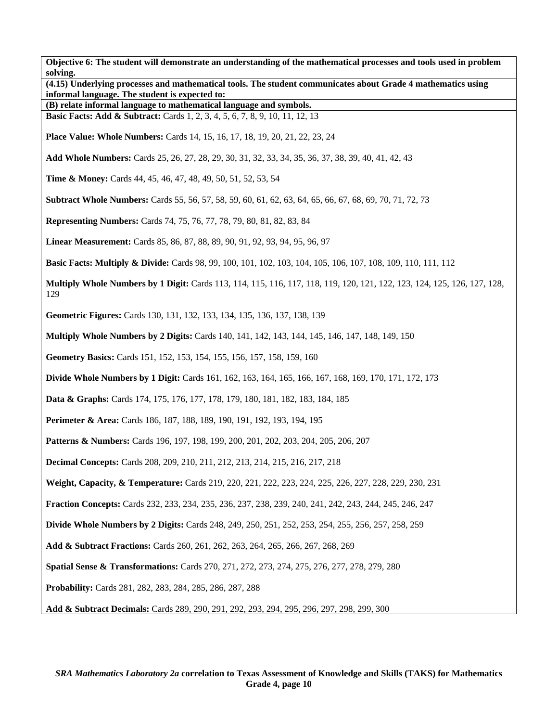| solving. | (4.15) Underlying processes and mathematical tools. The student communicates about Grade 4 mathematics using             |
|----------|--------------------------------------------------------------------------------------------------------------------------|
|          | informal language. The student is expected to:<br>(B) relate informal language to mathematical language and symbols.     |
|          | <b>Basic Facts: Add &amp; Subtract:</b> Cards 1, 2, 3, 4, 5, 6, 7, 8, 9, 10, 11, 12, 13                                  |
|          | <b>Place Value: Whole Numbers:</b> Cards 14, 15, 16, 17, 18, 19, 20, 21, 22, 23, 24                                      |
|          | Add Whole Numbers: Cards 25, 26, 27, 28, 29, 30, 31, 32, 33, 34, 35, 36, 37, 38, 39, 40, 41, 42, 43                      |
|          | <b>Time &amp; Money:</b> Cards 44, 45, 46, 47, 48, 49, 50, 51, 52, 53, 54                                                |
|          | <b>Subtract Whole Numbers:</b> Cards 55, 56, 57, 58, 59, 60, 61, 62, 63, 64, 65, 66, 67, 68, 69, 70, 71, 72, 73          |
|          | <b>Representing Numbers:</b> Cards 74, 75, 76, 77, 78, 79, 80, 81, 82, 83, 84                                            |
|          | Linear Measurement: Cards 85, 86, 87, 88, 89, 90, 91, 92, 93, 94, 95, 96, 97                                             |
|          | <b>Basic Facts: Multiply &amp; Divide:</b> Cards 98, 99, 100, 101, 102, 103, 104, 105, 106, 107, 108, 109, 110, 111, 112 |
| 129      | Multiply Whole Numbers by 1 Digit: Cards 113, 114, 115, 116, 117, 118, 119, 120, 121, 122, 123, 124, 125, 126, 127, 128, |
|          | Geometric Figures: Cards 130, 131, 132, 133, 134, 135, 136, 137, 138, 139                                                |
|          | <b>Multiply Whole Numbers by 2 Digits: Cards 140, 141, 142, 143, 144, 145, 146, 147, 148, 149, 150</b>                   |
|          | Geometry Basics: Cards 151, 152, 153, 154, 155, 156, 157, 158, 159, 160                                                  |
|          | <b>Divide Whole Numbers by 1 Digit:</b> Cards 161, 162, 163, 164, 165, 166, 167, 168, 169, 170, 171, 172, 173            |
|          | <b>Data &amp; Graphs:</b> Cards 174, 175, 176, 177, 178, 179, 180, 181, 182, 183, 184, 185                               |
|          | Perimeter & Area: Cards 186, 187, 188, 189, 190, 191, 192, 193, 194, 195                                                 |
|          | <b>Patterns &amp; Numbers:</b> Cards 196, 197, 198, 199, 200, 201, 202, 203, 204, 205, 206, 207                          |
|          | <b>Decimal Concepts:</b> Cards 208, 209, 210, 211, 212, 213, 214, 215, 216, 217, 218                                     |
|          | Weight, Capacity, & Temperature: Cards 219, 220, 221, 222, 223, 224, 225, 226, 227, 228, 229, 230, 231                   |
|          | Fraction Concepts: Cards 232, 233, 234, 235, 236, 237, 238, 239, 240, 241, 242, 243, 244, 245, 246, 247                  |
|          | <b>Divide Whole Numbers by 2 Digits:</b> Cards 248, 249, 250, 251, 252, 253, 254, 255, 256, 257, 258, 259                |
|          | Add & Subtract Fractions: Cards 260, 261, 262, 263, 264, 265, 266, 267, 268, 269                                         |
|          | <b>Spatial Sense &amp; Transformations:</b> Cards 270, 271, 272, 273, 274, 275, 276, 277, 278, 279, 280                  |
|          | <b>Probability:</b> Cards 281, 282, 283, 284, 285, 286, 287, 288                                                         |
|          | Add & Subtract Decimals: Cards 289, 290, 291, 292, 293, 294, 295, 296, 297, 298, 299, 300                                |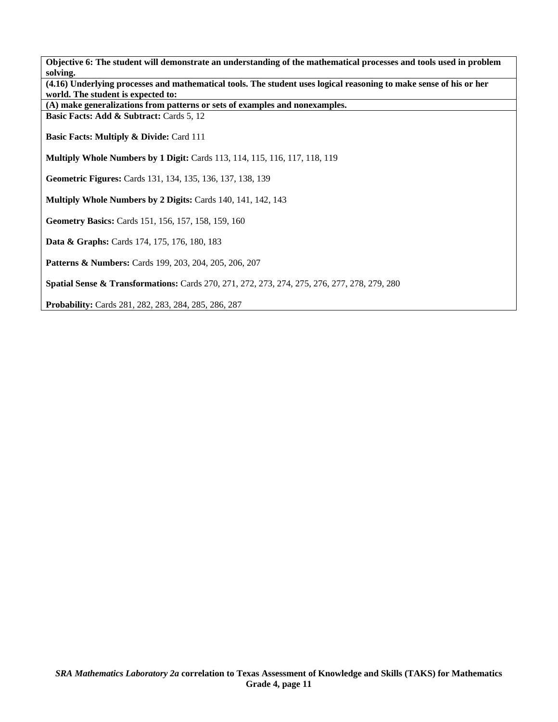| Objective 6: The student will demonstrate an understanding of the mathematical processes and tools used in problem<br>solving.                           |  |  |
|----------------------------------------------------------------------------------------------------------------------------------------------------------|--|--|
| (4.16) Underlying processes and mathematical tools. The student uses logical reasoning to make sense of his or her<br>world. The student is expected to: |  |  |
| (A) make generalizations from patterns or sets of examples and nonexamples.                                                                              |  |  |
| Basic Facts: Add & Subtract: Cards 5, 12                                                                                                                 |  |  |
| <b>Basic Facts: Multiply &amp; Divide: Card 111</b>                                                                                                      |  |  |
| <b>Multiply Whole Numbers by 1 Digit:</b> Cards 113, 114, 115, 116, 117, 118, 119                                                                        |  |  |
| Geometric Figures: Cards 131, 134, 135, 136, 137, 138, 139                                                                                               |  |  |
| Multiply Whole Numbers by 2 Digits: Cards 140, 141, 142, 143                                                                                             |  |  |
| Geometry Basics: Cards 151, 156, 157, 158, 159, 160                                                                                                      |  |  |
| Data & Graphs: Cards 174, 175, 176, 180, 183                                                                                                             |  |  |
| <b>Patterns &amp; Numbers:</b> Cards 199, 203, 204, 205, 206, 207                                                                                        |  |  |
| <b>Spatial Sense &amp; Transformations:</b> Cards 270, 271, 272, 273, 274, 275, 276, 277, 278, 279, 280                                                  |  |  |
| <b>Probability:</b> Cards 281, 282, 283, 284, 285, 286, 287                                                                                              |  |  |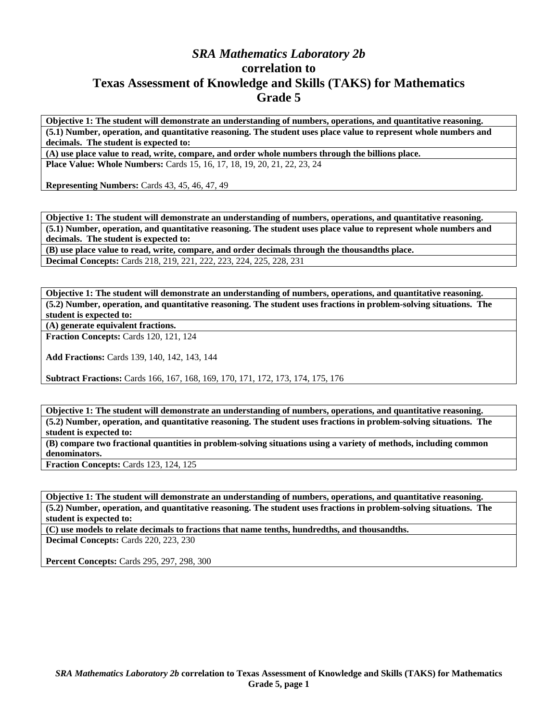## *SRA Mathematics Laboratory 2b*  **correlation to Texas Assessment of Knowledge and Skills (TAKS) for Mathematics Grade 5**

**Objective 1: The student will demonstrate an understanding of numbers, operations, and quantitative reasoning. (5.1) Number, operation, and quantitative reasoning. The student uses place value to represent whole numbers and decimals. The student is expected to:** 

**(A) use place value to read, write, compare, and order whole numbers through the billions place. Place Value: Whole Numbers:** Cards 15, 16, 17, 18, 19, 20, 21, 22, 23, 24

**Representing Numbers:** Cards 43, 45, 46, 47, 49

**Objective 1: The student will demonstrate an understanding of numbers, operations, and quantitative reasoning. (5.1) Number, operation, and quantitative reasoning. The student uses place value to represent whole numbers and decimals. The student is expected to:** 

**(B) use place value to read, write, compare, and order decimals through the thousandths place. Decimal Concepts:** Cards 218, 219, 221, 222, 223, 224, 225, 228, 231

**Objective 1: The student will demonstrate an understanding of numbers, operations, and quantitative reasoning. (5.2) Number, operation, and quantitative reasoning. The student uses fractions in problem-solving situations. The student is expected to:** 

**(A) generate equivalent fractions.** 

**Fraction Concepts:** Cards 120, 121, 124

**Add Fractions:** Cards 139, 140, 142, 143, 144

**Subtract Fractions:** Cards 166, 167, 168, 169, 170, 171, 172, 173, 174, 175, 176

**Objective 1: The student will demonstrate an understanding of numbers, operations, and quantitative reasoning. (5.2) Number, operation, and quantitative reasoning. The student uses fractions in problem-solving situations. The student is expected to:** 

**(B) compare two fractional quantities in problem-solving situations using a variety of methods, including common denominators.** 

**Fraction Concepts:** Cards 123, 124, 125

**Objective 1: The student will demonstrate an understanding of numbers, operations, and quantitative reasoning. (5.2) Number, operation, and quantitative reasoning. The student uses fractions in problem-solving situations. The student is expected to:** 

**(C) use models to relate decimals to fractions that name tenths, hundredths, and thousandths.** 

**Decimal Concepts:** Cards 220, 223, 230

**Percent Concepts:** Cards 295, 297, 298, 300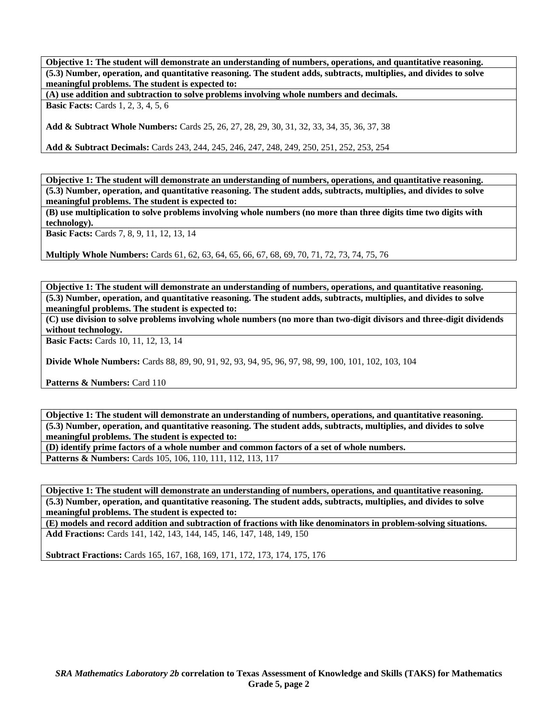**Objective 1: The student will demonstrate an understanding of numbers, operations, and quantitative reasoning. (5.3) Number, operation, and quantitative reasoning. The student adds, subtracts, multiplies, and divides to solve meaningful problems. The student is expected to:** 

**(A) use addition and subtraction to solve problems involving whole numbers and decimals.** 

**Basic Facts:** Cards 1, 2, 3, 4, 5, 6

**Add & Subtract Whole Numbers:** Cards 25, 26, 27, 28, 29, 30, 31, 32, 33, 34, 35, 36, 37, 38

**Add & Subtract Decimals:** Cards 243, 244, 245, 246, 247, 248, 249, 250, 251, 252, 253, 254

**Objective 1: The student will demonstrate an understanding of numbers, operations, and quantitative reasoning. (5.3) Number, operation, and quantitative reasoning. The student adds, subtracts, multiplies, and divides to solve meaningful problems. The student is expected to:** 

**(B) use multiplication to solve problems involving whole numbers (no more than three digits time two digits with technology).** 

**Basic Facts:** Cards 7, 8, 9, 11, 12, 13, 14

**Multiply Whole Numbers:** Cards 61, 62, 63, 64, 65, 66, 67, 68, 69, 70, 71, 72, 73, 74, 75, 76

**Objective 1: The student will demonstrate an understanding of numbers, operations, and quantitative reasoning. (5.3) Number, operation, and quantitative reasoning. The student adds, subtracts, multiplies, and divides to solve meaningful problems. The student is expected to:** 

**(C) use division to solve problems involving whole numbers (no more than two-digit divisors and three-digit dividends without technology.** 

**Basic Facts:** Cards 10, 11, 12, 13, 14

**Divide Whole Numbers:** Cards 88, 89, 90, 91, 92, 93, 94, 95, 96, 97, 98, 99, 100, 101, 102, 103, 104

**Patterns & Numbers: Card 110** 

**Objective 1: The student will demonstrate an understanding of numbers, operations, and quantitative reasoning. (5.3) Number, operation, and quantitative reasoning. The student adds, subtracts, multiplies, and divides to solve meaningful problems. The student is expected to:** 

**(D) identify prime factors of a whole number and common factors of a set of whole numbers.** 

Patterns & Numbers: Cards 105, 106, 110, 111, 112, 113, 117

**Objective 1: The student will demonstrate an understanding of numbers, operations, and quantitative reasoning. (5.3) Number, operation, and quantitative reasoning. The student adds, subtracts, multiplies, and divides to solve meaningful problems. The student is expected to:** 

**(E) models and record addition and subtraction of fractions with like denominators in problem-solving situations. Add Fractions:** Cards 141, 142, 143, 144, 145, 146, 147, 148, 149, 150

**Subtract Fractions:** Cards 165, 167, 168, 169, 171, 172, 173, 174, 175, 176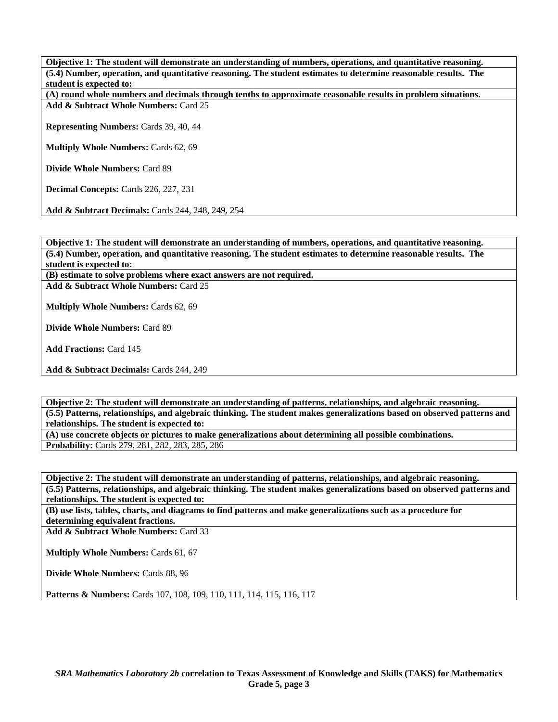**Objective 1: The student will demonstrate an understanding of numbers, operations, and quantitative reasoning. (5.4) Number, operation, and quantitative reasoning. The student estimates to determine reasonable results. The student is expected to:** 

**(A) round whole numbers and decimals through tenths to approximate reasonable results in problem situations. Add & Subtract Whole Numbers:** Card 25

**Representing Numbers:** Cards 39, 40, 44

**Multiply Whole Numbers:** Cards 62, 69

**Divide Whole Numbers:** Card 89

**Decimal Concepts:** Cards 226, 227, 231

**Add & Subtract Decimals:** Cards 244, 248, 249, 254

**Objective 1: The student will demonstrate an understanding of numbers, operations, and quantitative reasoning. (5.4) Number, operation, and quantitative reasoning. The student estimates to determine reasonable results. The student is expected to:** 

**(B) estimate to solve problems where exact answers are not required.** 

**Add & Subtract Whole Numbers:** Card 25

**Multiply Whole Numbers:** Cards 62, 69

**Divide Whole Numbers:** Card 89

**Add Fractions:** Card 145

**Add & Subtract Decimals:** Cards 244, 249

**Objective 2: The student will demonstrate an understanding of patterns, relationships, and algebraic reasoning. (5.5) Patterns, relationships, and algebraic thinking. The student makes generalizations based on observed patterns and relationships. The student is expected to: (A) use concrete objects or pictures to make generalizations about determining all possible combinations.** 

**Probability:** Cards 279, 281, 282, 283, 285, 286

**Objective 2: The student will demonstrate an understanding of patterns, relationships, and algebraic reasoning. (5.5) Patterns, relationships, and algebraic thinking. The student makes generalizations based on observed patterns and relationships. The student is expected to:** 

**(B) use lists, tables, charts, and diagrams to find patterns and make generalizations such as a procedure for determining equivalent fractions.** 

**Add & Subtract Whole Numbers:** Card 33

**Multiply Whole Numbers:** Cards 61, 67

**Divide Whole Numbers:** Cards 88, 96

Patterns & Numbers: Cards 107, 108, 109, 110, 111, 114, 115, 116, 117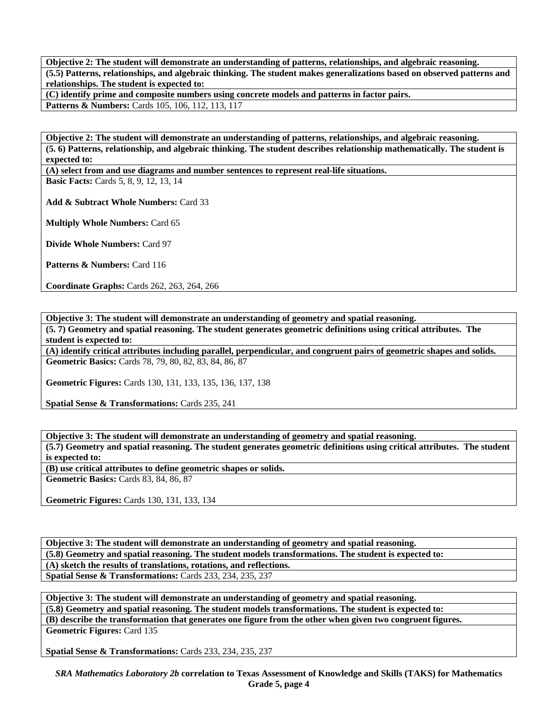**Objective 2: The student will demonstrate an understanding of patterns, relationships, and algebraic reasoning. (5.5) Patterns, relationships, and algebraic thinking. The student makes generalizations based on observed patterns and relationships. The student is expected to:** 

**(C) identify prime and composite numbers using concrete models and patterns in factor pairs.** 

Patterns & Numbers: Cards 105, 106, 112, 113, 117

**Objective 2: The student will demonstrate an understanding of patterns, relationships, and algebraic reasoning. (5. 6) Patterns, relationship, and algebraic thinking. The student describes relationship mathematically. The student is expected to:** 

**(A) select from and use diagrams and number sentences to represent real-life situations.** 

**Basic Facts:** Cards 5, 8, 9, 12, 13, 14

**Add & Subtract Whole Numbers:** Card 33

**Multiply Whole Numbers:** Card 65

**Divide Whole Numbers:** Card 97

Patterns & Numbers: Card 116

**Coordinate Graphs:** Cards 262, 263, 264, 266

**Objective 3: The student will demonstrate an understanding of geometry and spatial reasoning.** 

**(5. 7) Geometry and spatial reasoning. The student generates geometric definitions using critical attributes. The student is expected to:** 

**(A) identify critical attributes including parallel, perpendicular, and congruent pairs of geometric shapes and solids. Geometric Basics:** Cards 78, 79, 80, 82, 83, 84, 86, 87

**Geometric Figures:** Cards 130, 131, 133, 135, 136, 137, 138

**Spatial Sense & Transformations: Cards 235, 241** 

**Objective 3: The student will demonstrate an understanding of geometry and spatial reasoning. (5.7) Geometry and spatial reasoning. The student generates geometric definitions using critical attributes. The student is expected to: (B) use critical attributes to define geometric shapes or solids.** 

**Geometric Basics:** Cards 83, 84, 86, 87

**Geometric Figures:** Cards 130, 131, 133, 134

**Objective 3: The student will demonstrate an understanding of geometry and spatial reasoning. (5.8) Geometry and spatial reasoning. The student models transformations. The student is expected to: (A) sketch the results of translations, rotations, and reflections. Spatial Sense & Transformations:** Cards 233, 234, 235, 237

**Objective 3: The student will demonstrate an understanding of geometry and spatial reasoning. (5.8) Geometry and spatial reasoning. The student models transformations. The student is expected to: (B) describe the transformation that generates one figure from the other when given two congruent figures. Geometric Figures:** Card 135

**Spatial Sense & Transformations:** Cards 233, 234, 235, 237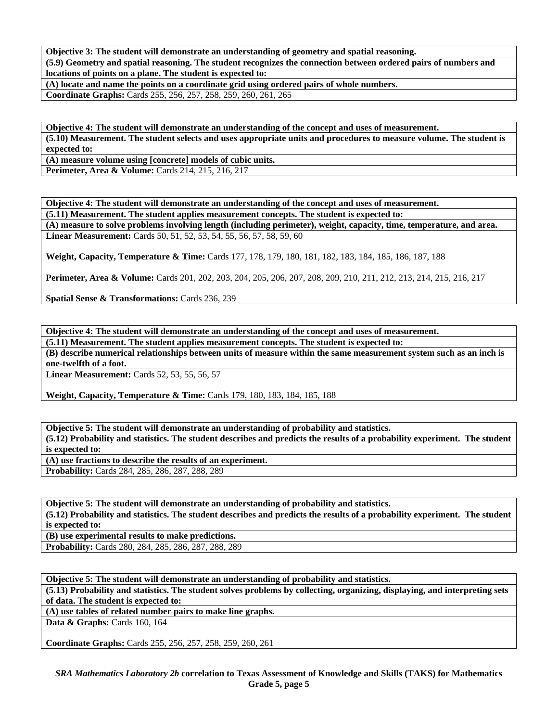**Objective 3: The student will demonstrate an understanding of geometry and spatial reasoning. (5.9) Geometry and spatial reasoning. The student recognizes the connection between ordered pairs of numbers and locations of points on a plane. The student is expected to:** 

**(A) locate and name the points on a coordinate grid using ordered pairs of whole numbers. Coordinate Graphs:** Cards 255, 256, 257, 258, 259, 260, 261, 265

**Objective 4: The student will demonstrate an understanding of the concept and uses of measurement. (5.10) Measurement. The student selects and uses appropriate units and procedures to measure volume. The student is expected to:** 

**(A) measure volume using [concrete] models of cubic units.** 

**Perimeter, Area & Volume:** Cards 214, 215, 216, 217

**Objective 4: The student will demonstrate an understanding of the concept and uses of measurement. (5.11) Measurement. The student applies measurement concepts. The student is expected to:** 

**(A) measure to solve problems involving length (including perimeter), weight, capacity, time, temperature, and area. Linear Measurement:** Cards 50, 51, 52, 53, 54, 55, 56, 57, 58, 59, 60

**Weight, Capacity, Temperature & Time:** Cards 177, 178, 179, 180, 181, 182, 183, 184, 185, 186, 187, 188

**Perimeter, Area & Volume:** Cards 201, 202, 203, 204, 205, 206, 207, 208, 209, 210, 211, 212, 213, 214, 215, 216, 217

**Spatial Sense & Transformations:** Cards 236, 239

**Objective 4: The student will demonstrate an understanding of the concept and uses of measurement.** 

**(5.11) Measurement. The student applies measurement concepts. The student is expected to:** 

**(B) describe numerical relationships between units of measure within the same measurement system such as an inch is one-twelfth of a foot.** 

**Linear Measurement:** Cards 52, 53, 55, 56, 57

**Weight, Capacity, Temperature & Time:** Cards 179, 180, 183, 184, 185, 188

**Objective 5: The student will demonstrate an understanding of probability and statistics. (5.12) Probability and statistics. The student describes and predicts the results of a probability experiment. The student is expected to:** 

**(A) use fractions to describe the results of an experiment.** 

**Probability:** Cards 284, 285, 286, 287, 288, 289

**Objective 5: The student will demonstrate an understanding of probability and statistics. (5.12) Probability and statistics. The student describes and predicts the results of a probability experiment. The student is expected to:** 

**(B) use experimental results to make predictions.** 

**Probability:** Cards 280, 284, 285, 286, 287, 288, 289

**Objective 5: The student will demonstrate an understanding of probability and statistics.** 

**(5.13) Probability and statistics. The student solves problems by collecting, organizing, displaying, and interpreting sets of data. The student is expected to:** 

**(A) use tables of related number pairs to make line graphs.** 

**Data & Graphs:** Cards 160, 164

**Coordinate Graphs:** Cards 255, 256, 257, 258, 259, 260, 261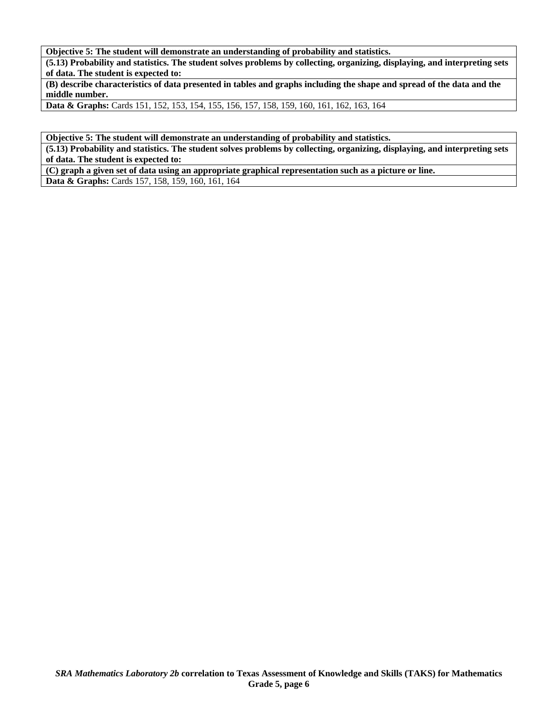**Objective 5: The student will demonstrate an understanding of probability and statistics.** 

**(5.13) Probability and statistics. The student solves problems by collecting, organizing, displaying, and interpreting sets of data. The student is expected to:** 

**(B) describe characteristics of data presented in tables and graphs including the shape and spread of the data and the middle number.** 

**Data & Graphs:** Cards 151, 152, 153, 154, 155, 156, 157, 158, 159, 160, 161, 162, 163, 164

**Objective 5: The student will demonstrate an understanding of probability and statistics.** 

**(5.13) Probability and statistics. The student solves problems by collecting, organizing, displaying, and interpreting sets of data. The student is expected to:** 

**(C) graph a given set of data using an appropriate graphical representation such as a picture or line. Data & Graphs:** Cards 157, 158, 159, 160, 161, 164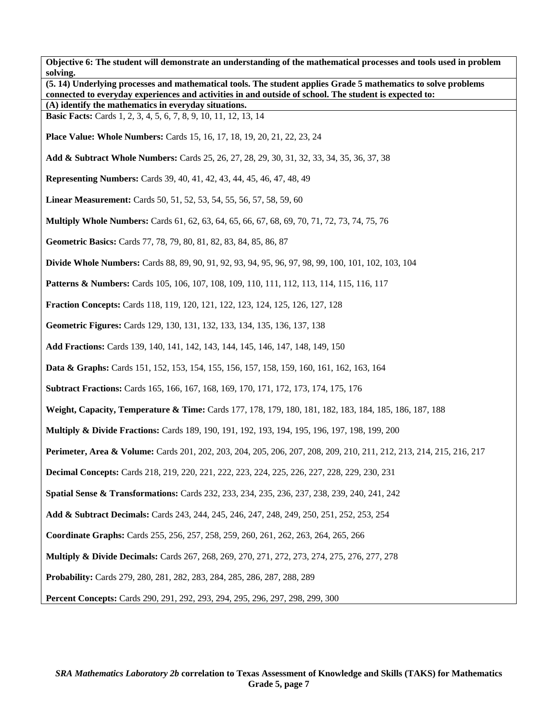**Objective 6: The student will demonstrate an understanding of the mathematical processes and tools used in problem solving. (5. 14) Underlying processes and mathematical tools. The student applies Grade 5 mathematics to solve problems connected to everyday experiences and activities in and outside of school. The student is expected to: (A) identify the mathematics in everyday situations. Basic Facts:** Cards 1, 2, 3, 4, 5, 6, 7, 8, 9, 10, 11, 12, 13, 14 **Place Value: Whole Numbers:** Cards 15, 16, 17, 18, 19, 20, 21, 22, 23, 24 **Add & Subtract Whole Numbers:** Cards 25, 26, 27, 28, 29, 30, 31, 32, 33, 34, 35, 36, 37, 38 **Representing Numbers:** Cards 39, 40, 41, 42, 43, 44, 45, 46, 47, 48, 49 **Linear Measurement:** Cards 50, 51, 52, 53, 54, 55, 56, 57, 58, 59, 60 **Multiply Whole Numbers:** Cards 61, 62, 63, 64, 65, 66, 67, 68, 69, 70, 71, 72, 73, 74, 75, 76 **Geometric Basics:** Cards 77, 78, 79, 80, 81, 82, 83, 84, 85, 86, 87 **Divide Whole Numbers:** Cards 88, 89, 90, 91, 92, 93, 94, 95, 96, 97, 98, 99, 100, 101, 102, 103, 104 **Patterns & Numbers:** Cards 105, 106, 107, 108, 109, 110, 111, 112, 113, 114, 115, 116, 117 **Fraction Concepts:** Cards 118, 119, 120, 121, 122, 123, 124, 125, 126, 127, 128 **Geometric Figures:** Cards 129, 130, 131, 132, 133, 134, 135, 136, 137, 138 **Add Fractions:** Cards 139, 140, 141, 142, 143, 144, 145, 146, 147, 148, 149, 150 **Data & Graphs:** Cards 151, 152, 153, 154, 155, 156, 157, 158, 159, 160, 161, 162, 163, 164 **Subtract Fractions:** Cards 165, 166, 167, 168, 169, 170, 171, 172, 173, 174, 175, 176 **Weight, Capacity, Temperature & Time:** Cards 177, 178, 179, 180, 181, 182, 183, 184, 185, 186, 187, 188 **Multiply & Divide Fractions:** Cards 189, 190, 191, 192, 193, 194, 195, 196, 197, 198, 199, 200 **Perimeter, Area & Volume:** Cards 201, 202, 203, 204, 205, 206, 207, 208, 209, 210, 211, 212, 213, 214, 215, 216, 217 **Decimal Concepts:** Cards 218, 219, 220, 221, 222, 223, 224, 225, 226, 227, 228, 229, 230, 231 **Spatial Sense & Transformations:** Cards 232, 233, 234, 235, 236, 237, 238, 239, 240, 241, 242 **Add & Subtract Decimals:** Cards 243, 244, 245, 246, 247, 248, 249, 250, 251, 252, 253, 254 **Coordinate Graphs:** Cards 255, 256, 257, 258, 259, 260, 261, 262, 263, 264, 265, 266 **Multiply & Divide Decimals:** Cards 267, 268, 269, 270, 271, 272, 273, 274, 275, 276, 277, 278 **Probability:** Cards 279, 280, 281, 282, 283, 284, 285, 286, 287, 288, 289 **Percent Concepts:** Cards 290, 291, 292, 293, 294, 295, 296, 297, 298, 299, 300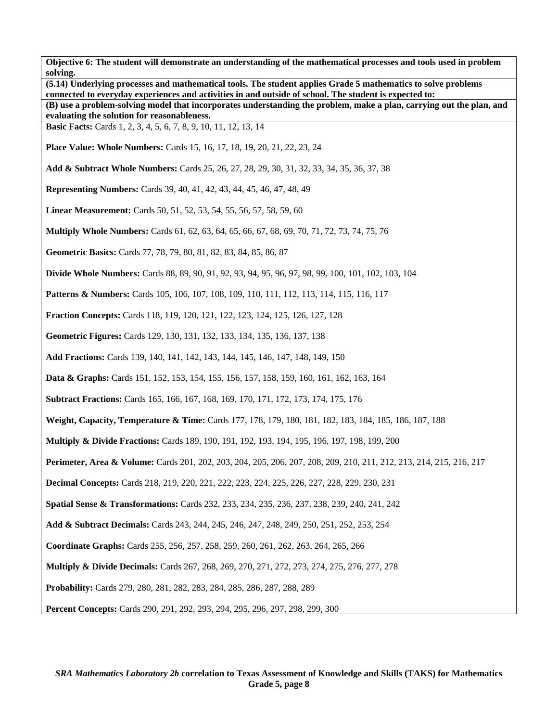**Objective 6: The student will demonstrate an understanding of the mathematical processes and tools used in problem solving. (5.14) Underlying processes and mathematical tools. The student applies Grade 5 mathematics to solve problems connected to everyday experiences and activities in and outside of school. The student is expected to: (B) use a problem-solving model that incorporates understanding the problem, make a plan, carrying out the plan, and evaluating the solution for reasonableness. Basic Facts:** Cards 1, 2, 3, 4, 5, 6, 7, 8, 9, 10, 11, 12, 13, 14 **Place Value: Whole Numbers:** Cards 15, 16, 17, 18, 19, 20, 21, 22, 23, 24 **Add & Subtract Whole Numbers:** Cards 25, 26, 27, 28, 29, 30, 31, 32, 33, 34, 35, 36, 37, 38 **Representing Numbers:** Cards 39, 40, 41, 42, 43, 44, 45, 46, 47, 48, 49 **Linear Measurement:** Cards 50, 51, 52, 53, 54, 55, 56, 57, 58, 59, 60 **Multiply Whole Numbers:** Cards 61, 62, 63, 64, 65, 66, 67, 68, 69, 70, 71, 72, 73, 74, 75, 76 **Geometric Basics:** Cards 77, 78, 79, 80, 81, 82, 83, 84, 85, 86, 87 **Divide Whole Numbers:** Cards 88, 89, 90, 91, 92, 93, 94, 95, 96, 97, 98, 99, 100, 101, 102, 103, 104 **Patterns & Numbers:** Cards 105, 106, 107, 108, 109, 110, 111, 112, 113, 114, 115, 116, 117 **Fraction Concepts:** Cards 118, 119, 120, 121, 122, 123, 124, 125, 126, 127, 128 **Geometric Figures:** Cards 129, 130, 131, 132, 133, 134, 135, 136, 137, 138 **Add Fractions:** Cards 139, 140, 141, 142, 143, 144, 145, 146, 147, 148, 149, 150 **Data & Graphs:** Cards 151, 152, 153, 154, 155, 156, 157, 158, 159, 160, 161, 162, 163, 164 **Subtract Fractions:** Cards 165, 166, 167, 168, 169, 170, 171, 172, 173, 174, 175, 176 **Weight, Capacity, Temperature & Time:** Cards 177, 178, 179, 180, 181, 182, 183, 184, 185, 186, 187, 188 **Multiply & Divide Fractions:** Cards 189, 190, 191, 192, 193, 194, 195, 196, 197, 198, 199, 200 **Perimeter, Area & Volume:** Cards 201, 202, 203, 204, 205, 206, 207, 208, 209, 210, 211, 212, 213, 214, 215, 216, 217 **Decimal Concepts:** Cards 218, 219, 220, 221, 222, 223, 224, 225, 226, 227, 228, 229, 230, 231 **Spatial Sense & Transformations:** Cards 232, 233, 234, 235, 236, 237, 238, 239, 240, 241, 242 **Add & Subtract Decimals:** Cards 243, 244, 245, 246, 247, 248, 249, 250, 251, 252, 253, 254 **Coordinate Graphs:** Cards 255, 256, 257, 258, 259, 260, 261, 262, 263, 264, 265, 266 **Multiply & Divide Decimals:** Cards 267, 268, 269, 270, 271, 272, 273, 274, 275, 276, 277, 278 **Probability:** Cards 279, 280, 281, 282, 283, 284, 285, 286, 287, 288, 289 **Percent Concepts:** Cards 290, 291, 292, 293, 294, 295, 296, 297, 298, 299, 300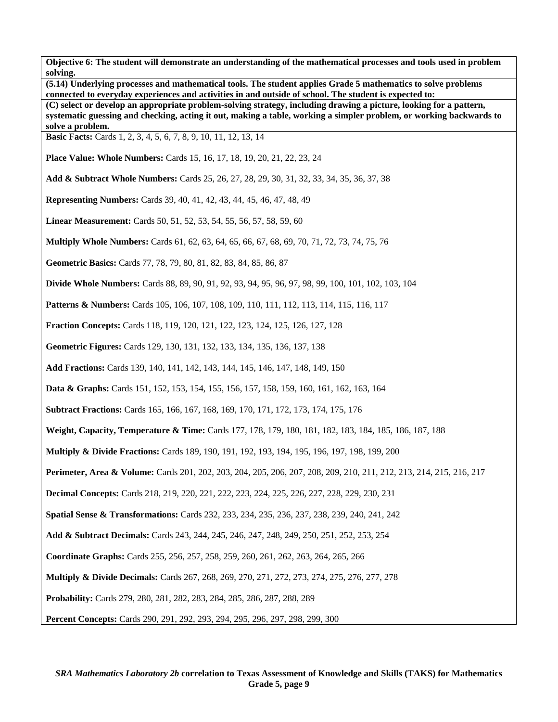**(5.14) Underlying processes and mathematical tools. The student applies Grade 5 mathematics to solve problems connected to everyday experiences and activities in and outside of school. The student is expected to:** 

**(C) select or develop an appropriate problem-solving strategy, including drawing a picture, looking for a pattern, systematic guessing and checking, acting it out, making a table, working a simpler problem, or working backwards to solve a problem.** 

**Basic Facts:** Cards 1, 2, 3, 4, 5, 6, 7, 8, 9, 10, 11, 12, 13, 14

**Place Value: Whole Numbers:** Cards 15, 16, 17, 18, 19, 20, 21, 22, 23, 24

**Add & Subtract Whole Numbers:** Cards 25, 26, 27, 28, 29, 30, 31, 32, 33, 34, 35, 36, 37, 38

**Representing Numbers:** Cards 39, 40, 41, 42, 43, 44, 45, 46, 47, 48, 49

**Linear Measurement:** Cards 50, 51, 52, 53, 54, 55, 56, 57, 58, 59, 60

**Multiply Whole Numbers:** Cards 61, 62, 63, 64, 65, 66, 67, 68, 69, 70, 71, 72, 73, 74, 75, 76

**Geometric Basics:** Cards 77, 78, 79, 80, 81, 82, 83, 84, 85, 86, 87

**Divide Whole Numbers:** Cards 88, 89, 90, 91, 92, 93, 94, 95, 96, 97, 98, 99, 100, 101, 102, 103, 104

**Patterns & Numbers:** Cards 105, 106, 107, 108, 109, 110, 111, 112, 113, 114, 115, 116, 117

**Fraction Concepts:** Cards 118, 119, 120, 121, 122, 123, 124, 125, 126, 127, 128

**Geometric Figures:** Cards 129, 130, 131, 132, 133, 134, 135, 136, 137, 138

**Add Fractions:** Cards 139, 140, 141, 142, 143, 144, 145, 146, 147, 148, 149, 150

**Data & Graphs:** Cards 151, 152, 153, 154, 155, 156, 157, 158, 159, 160, 161, 162, 163, 164

**Subtract Fractions:** Cards 165, 166, 167, 168, 169, 170, 171, 172, 173, 174, 175, 176

**Weight, Capacity, Temperature & Time:** Cards 177, 178, 179, 180, 181, 182, 183, 184, 185, 186, 187, 188

**Multiply & Divide Fractions:** Cards 189, 190, 191, 192, 193, 194, 195, 196, 197, 198, 199, 200

**Perimeter, Area & Volume:** Cards 201, 202, 203, 204, 205, 206, 207, 208, 209, 210, 211, 212, 213, 214, 215, 216, 217

**Decimal Concepts:** Cards 218, 219, 220, 221, 222, 223, 224, 225, 226, 227, 228, 229, 230, 231

**Spatial Sense & Transformations:** Cards 232, 233, 234, 235, 236, 237, 238, 239, 240, 241, 242

**Add & Subtract Decimals:** Cards 243, 244, 245, 246, 247, 248, 249, 250, 251, 252, 253, 254

**Coordinate Graphs:** Cards 255, 256, 257, 258, 259, 260, 261, 262, 263, 264, 265, 266

**Multiply & Divide Decimals:** Cards 267, 268, 269, 270, 271, 272, 273, 274, 275, 276, 277, 278

**Probability:** Cards 279, 280, 281, 282, 283, 284, 285, 286, 287, 288, 289

**Percent Concepts:** Cards 290, 291, 292, 293, 294, 295, 296, 297, 298, 299, 300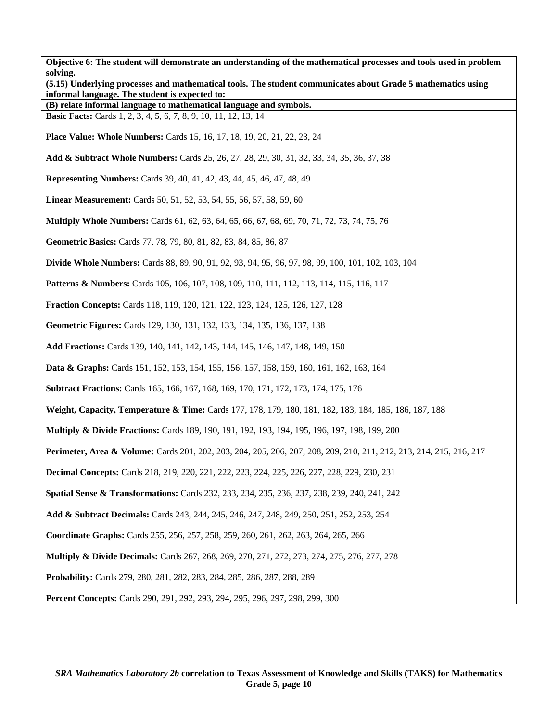| Objective 6: The student will demonstrate an understanding of the mathematical processes and tools used in problem<br>solving.                                 |  |  |
|----------------------------------------------------------------------------------------------------------------------------------------------------------------|--|--|
| (5.15) Underlying processes and mathematical tools. The student communicates about Grade 5 mathematics using<br>informal language. The student is expected to: |  |  |
| (B) relate informal language to mathematical language and symbols.                                                                                             |  |  |
| <b>Basic Facts:</b> Cards 1, 2, 3, 4, 5, 6, 7, 8, 9, 10, 11, 12, 13, 14                                                                                        |  |  |
| <b>Place Value: Whole Numbers:</b> Cards 15, 16, 17, 18, 19, 20, 21, 22, 23, 24                                                                                |  |  |
| Add & Subtract Whole Numbers: Cards 25, 26, 27, 28, 29, 30, 31, 32, 33, 34, 35, 36, 37, 38                                                                     |  |  |
| <b>Representing Numbers:</b> Cards 39, 40, 41, 42, 43, 44, 45, 46, 47, 48, 49                                                                                  |  |  |
| <b>Linear Measurement:</b> Cards 50, 51, 52, 53, 54, 55, 56, 57, 58, 59, 60                                                                                    |  |  |
| <b>Multiply Whole Numbers:</b> Cards 61, 62, 63, 64, 65, 66, 67, 68, 69, 70, 71, 72, 73, 74, 75, 76                                                            |  |  |
| Geometric Basics: Cards 77, 78, 79, 80, 81, 82, 83, 84, 85, 86, 87                                                                                             |  |  |
| <b>Divide Whole Numbers:</b> Cards 88, 89, 90, 91, 92, 93, 94, 95, 96, 97, 98, 99, 100, 101, 102, 103, 104                                                     |  |  |
| <b>Patterns &amp; Numbers:</b> Cards 105, 106, 107, 108, 109, 110, 111, 112, 113, 114, 115, 116, 117                                                           |  |  |
| <b>Fraction Concepts:</b> Cards 118, 119, 120, 121, 122, 123, 124, 125, 126, 127, 128                                                                          |  |  |
| Geometric Figures: Cards 129, 130, 131, 132, 133, 134, 135, 136, 137, 138                                                                                      |  |  |
| Add Fractions: Cards 139, 140, 141, 142, 143, 144, 145, 146, 147, 148, 149, 150                                                                                |  |  |
| <b>Data &amp; Graphs:</b> Cards 151, 152, 153, 154, 155, 156, 157, 158, 159, 160, 161, 162, 163, 164                                                           |  |  |
| <b>Subtract Fractions:</b> Cards 165, 166, 167, 168, 169, 170, 171, 172, 173, 174, 175, 176                                                                    |  |  |
| Weight, Capacity, Temperature & Time: Cards 177, 178, 179, 180, 181, 182, 183, 184, 185, 186, 187, 188                                                         |  |  |
| <b>Multiply &amp; Divide Fractions:</b> Cards 189, 190, 191, 192, 193, 194, 195, 196, 197, 198, 199, 200                                                       |  |  |
| Perimeter, Area & Volume: Cards 201, 202, 203, 204, 205, 206, 207, 208, 209, 210, 211, 212, 213, 214, 215, 216, 217                                            |  |  |
| <b>Decimal Concepts:</b> Cards 218, 219, 220, 221, 222, 223, 224, 225, 226, 227, 228, 229, 230, 231                                                            |  |  |
| <b>Spatial Sense &amp; Transformations:</b> Cards 232, 233, 234, 235, 236, 237, 238, 239, 240, 241, 242                                                        |  |  |
| Add & Subtract Decimals: Cards 243, 244, 245, 246, 247, 248, 249, 250, 251, 252, 253, 254                                                                      |  |  |
| Coordinate Graphs: Cards 255, 256, 257, 258, 259, 260, 261, 262, 263, 264, 265, 266                                                                            |  |  |
| <b>Multiply &amp; Divide Decimals:</b> Cards 267, 268, 269, 270, 271, 272, 273, 274, 275, 276, 277, 278                                                        |  |  |
| Probability: Cards 279, 280, 281, 282, 283, 284, 285, 286, 287, 288, 289                                                                                       |  |  |
| Percent Concepts: Cards 290, 291, 292, 293, 294, 295, 296, 297, 298, 299, 300                                                                                  |  |  |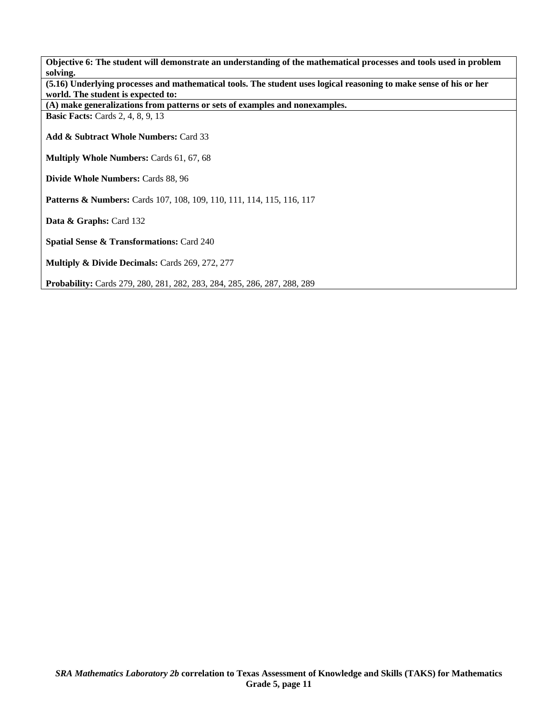**Objective 6: The student will demonstrate an understanding of the mathematical processes and tools used in problem solving. (5.16) Underlying processes and mathematical tools. The student uses logical reasoning to make sense of his or her world. The student is expected to: (A) make generalizations from patterns or sets of examples and nonexamples. Basic Facts: Cards 2, 4, 8, 9, 13 Add & Subtract Whole Numbers:** Card 33 **Multiply Whole Numbers:** Cards 61, 67, 68 **Divide Whole Numbers:** Cards 88, 96 Patterns & Numbers: Cards 107, 108, 109, 110, 111, 114, 115, 116, 117 Data & Graphs: Card 132 **Spatial Sense & Transformations:** Card 240 **Multiply & Divide Decimals:** Cards 269, 272, 277 **Probability:** Cards 279, 280, 281, 282, 283, 284, 285, 286, 287, 288, 289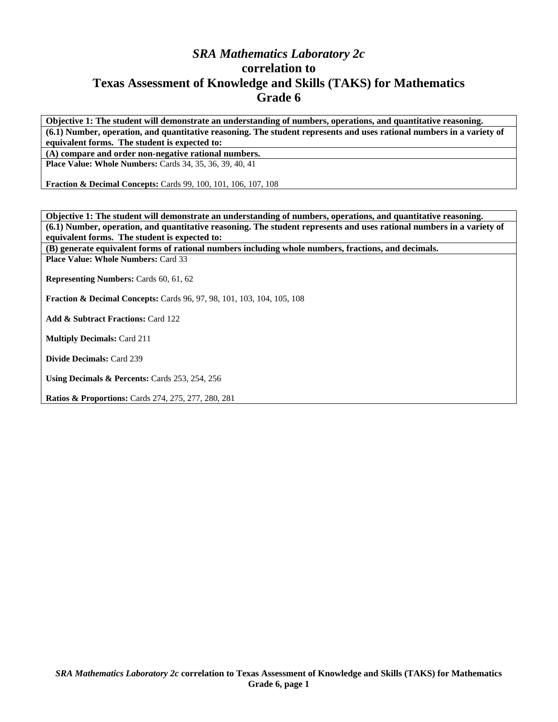## *SRA Mathematics Laboratory 2c*  **correlation to Texas Assessment of Knowledge and Skills (TAKS) for Mathematics Grade 6**

**Objective 1: The student will demonstrate an understanding of numbers, operations, and quantitative reasoning. (6.1) Number, operation, and quantitative reasoning. The student represents and uses rational numbers in a variety of equivalent forms. The student is expected to:** 

**(A) compare and order non-negative rational numbers.** 

**Place Value: Whole Numbers:** Cards 34, 35, 36, 39, 40, 41

**Fraction & Decimal Concepts:** Cards 99, 100, 101, 106, 107, 108

**Objective 1: The student will demonstrate an understanding of numbers, operations, and quantitative reasoning. (6.1) Number, operation, and quantitative reasoning. The student represents and uses rational numbers in a variety of equivalent forms. The student is expected to:** 

**(B) generate equivalent forms of rational numbers including whole numbers, fractions, and decimals. Place Value: Whole Numbers:** Card 33

**Representing Numbers:** Cards 60, 61, 62

**Fraction & Decimal Concepts:** Cards 96, 97, 98, 101, 103, 104, 105, 108

**Add & Subtract Fractions:** Card 122

**Multiply Decimals:** Card 211

**Divide Decimals:** Card 239

**Using Decimals & Percents:** Cards 253, 254, 256

**Ratios & Proportions:** Cards 274, 275, 277, 280, 281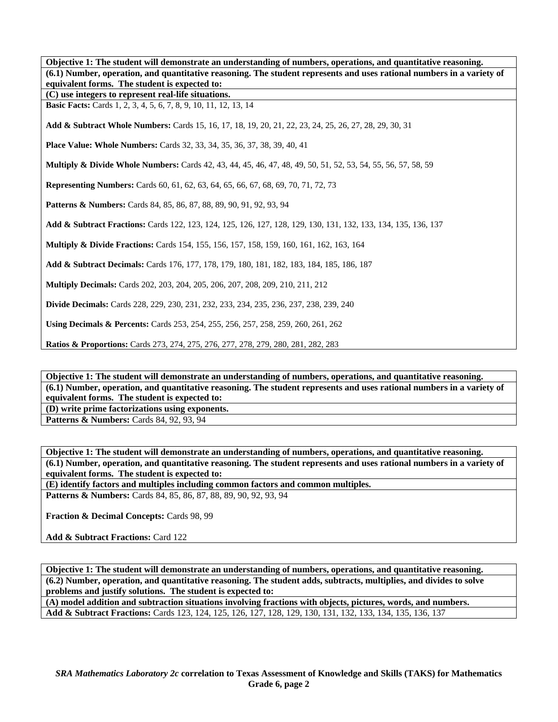**Objective 1: The student will demonstrate an understanding of numbers, operations, and quantitative reasoning. (6.1) Number, operation, and quantitative reasoning. The student represents and uses rational numbers in a variety of equivalent forms. The student is expected to: (C) use integers to represent real-life situations. Basic Facts:** Cards 1, 2, 3, 4, 5, 6, 7, 8, 9, 10, 11, 12, 13, 14 **Add & Subtract Whole Numbers:** Cards 15, 16, 17, 18, 19, 20, 21, 22, 23, 24, 25, 26, 27, 28, 29, 30, 31 **Place Value: Whole Numbers:** Cards 32, 33, 34, 35, 36, 37, 38, 39, 40, 41 **Multiply & Divide Whole Numbers:** Cards 42, 43, 44, 45, 46, 47, 48, 49, 50, 51, 52, 53, 54, 55, 56, 57, 58, 59 **Representing Numbers:** Cards 60, 61, 62, 63, 64, 65, 66, 67, 68, 69, 70, 71, 72, 73 Patterns & Numbers: Cards 84, 85, 86, 87, 88, 89, 90, 91, 92, 93, 94 **Add & Subtract Fractions:** Cards 122, 123, 124, 125, 126, 127, 128, 129, 130, 131, 132, 133, 134, 135, 136, 137 **Multiply & Divide Fractions:** Cards 154, 155, 156, 157, 158, 159, 160, 161, 162, 163, 164 **Add & Subtract Decimals:** Cards 176, 177, 178, 179, 180, 181, 182, 183, 184, 185, 186, 187 **Multiply Decimals:** Cards 202, 203, 204, 205, 206, 207, 208, 209, 210, 211, 212 **Divide Decimals:** Cards 228, 229, 230, 231, 232, 233, 234, 235, 236, 237, 238, 239, 240 **Using Decimals & Percents:** Cards 253, 254, 255, 256, 257, 258, 259, 260, 261, 262 **Ratios & Proportions:** Cards 273, 274, 275, 276, 277, 278, 279, 280, 281, 282, 283

**Objective 1: The student will demonstrate an understanding of numbers, operations, and quantitative reasoning. (6.1) Number, operation, and quantitative reasoning. The student represents and uses rational numbers in a variety of equivalent forms. The student is expected to:** 

**(D) write prime factorizations using exponents.** 

**Patterns & Numbers: Cards 84, 92, 93, 94** 

**Objective 1: The student will demonstrate an understanding of numbers, operations, and quantitative reasoning. (6.1) Number, operation, and quantitative reasoning. The student represents and uses rational numbers in a variety of equivalent forms. The student is expected to:** 

**(E) identify factors and multiples including common factors and common multiples.** 

**Patterns & Numbers:** Cards 84, 85, 86, 87, 88, 89, 90, 92, 93, 94

**Fraction & Decimal Concepts:** Cards 98, 99

**Add & Subtract Fractions:** Card 122

**Objective 1: The student will demonstrate an understanding of numbers, operations, and quantitative reasoning. (6.2) Number, operation, and quantitative reasoning. The student adds, subtracts, multiplies, and divides to solve problems and justify solutions. The student is expected to:** 

**(A) model addition and subtraction situations involving fractions with objects, pictures, words, and numbers. Add & Subtract Fractions:** Cards 123, 124, 125, 126, 127, 128, 129, 130, 131, 132, 133, 134, 135, 136, 137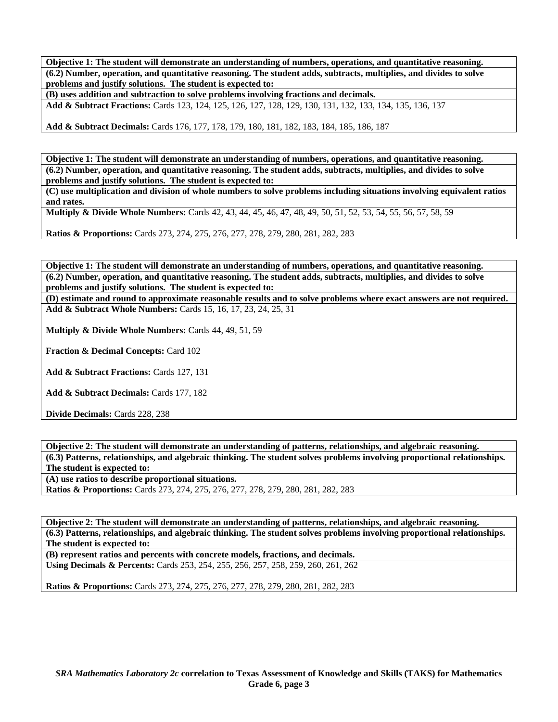**Objective 1: The student will demonstrate an understanding of numbers, operations, and quantitative reasoning. (6.2) Number, operation, and quantitative reasoning. The student adds, subtracts, multiplies, and divides to solve problems and justify solutions. The student is expected to:** 

**(B) uses addition and subtraction to solve problems involving fractions and decimals.** 

**Add & Subtract Fractions:** Cards 123, 124, 125, 126, 127, 128, 129, 130, 131, 132, 133, 134, 135, 136, 137

**Add & Subtract Decimals:** Cards 176, 177, 178, 179, 180, 181, 182, 183, 184, 185, 186, 187

**Objective 1: The student will demonstrate an understanding of numbers, operations, and quantitative reasoning. (6.2) Number, operation, and quantitative reasoning. The student adds, subtracts, multiplies, and divides to solve problems and justify solutions. The student is expected to:** 

**(C) use multiplication and division of whole numbers to solve problems including situations involving equivalent ratios and rates.** 

**Multiply & Divide Whole Numbers:** Cards 42, 43, 44, 45, 46, 47, 48, 49, 50, 51, 52, 53, 54, 55, 56, 57, 58, 59

**Ratios & Proportions:** Cards 273, 274, 275, 276, 277, 278, 279, 280, 281, 282, 283

**Objective 1: The student will demonstrate an understanding of numbers, operations, and quantitative reasoning. (6.2) Number, operation, and quantitative reasoning. The student adds, subtracts, multiplies, and divides to solve problems and justify solutions. The student is expected to:** 

**(D) estimate and round to approximate reasonable results and to solve problems where exact answers are not required. Add & Subtract Whole Numbers:** Cards 15, 16, 17, 23, 24, 25, 31

**Multiply & Divide Whole Numbers:** Cards 44, 49, 51, 59

**Fraction & Decimal Concepts:** Card 102

Add & Subtract Fractions: Cards 127, 131

**Add & Subtract Decimals:** Cards 177, 182

**Divide Decimals:** Cards 228, 238

**Objective 2: The student will demonstrate an understanding of patterns, relationships, and algebraic reasoning. (6.3) Patterns, relationships, and algebraic thinking. The student solves problems involving proportional relationships. The student is expected to:** 

**(A) use ratios to describe proportional situations.** 

**Ratios & Proportions:** Cards 273, 274, 275, 276, 277, 278, 279, 280, 281, 282, 283

**Objective 2: The student will demonstrate an understanding of patterns, relationships, and algebraic reasoning. (6.3) Patterns, relationships, and algebraic thinking. The student solves problems involving proportional relationships. The student is expected to:** 

**(B) represent ratios and percents with concrete models, fractions, and decimals. Using Decimals & Percents:** Cards 253, 254, 255, 256, 257, 258, 259, 260, 261, 262

**Ratios & Proportions:** Cards 273, 274, 275, 276, 277, 278, 279, 280, 281, 282, 283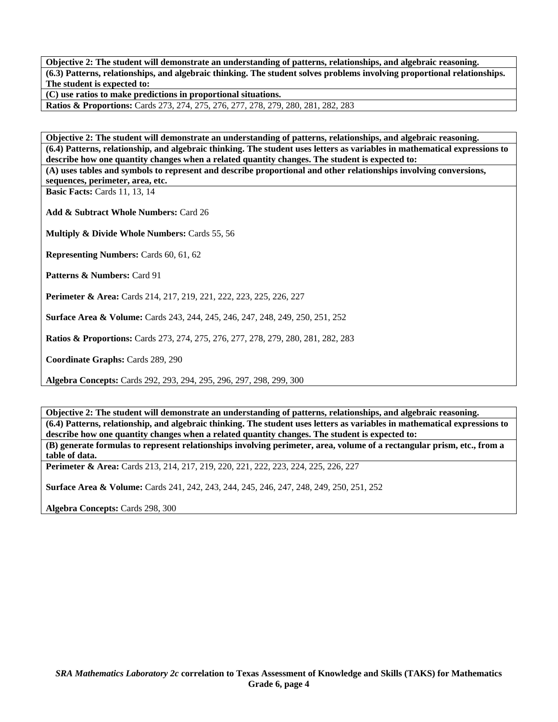**Objective 2: The student will demonstrate an understanding of patterns, relationships, and algebraic reasoning. (6.3) Patterns, relationships, and algebraic thinking. The student solves problems involving proportional relationships. The student is expected to:** 

**(C) use ratios to make predictions in proportional situations.** 

**Ratios & Proportions:** Cards 273, 274, 275, 276, 277, 278, 279, 280, 281, 282, 283

**Objective 2: The student will demonstrate an understanding of patterns, relationships, and algebraic reasoning. (6.4) Patterns, relationship, and algebraic thinking. The student uses letters as variables in mathematical expressions to describe how one quantity changes when a related quantity changes. The student is expected to: (A) uses tables and symbols to represent and describe proportional and other relationships involving conversions,** 

**sequences, perimeter, area, etc.** 

**Basic Facts:** Cards 11, 13, 14

**Add & Subtract Whole Numbers:** Card 26

**Multiply & Divide Whole Numbers:** Cards 55, 56

**Representing Numbers:** Cards 60, 61, 62

**Patterns & Numbers:** Card 91

**Perimeter & Area:** Cards 214, 217, 219, 221, 222, 223, 225, 226, 227

**Surface Area & Volume:** Cards 243, 244, 245, 246, 247, 248, 249, 250, 251, 252

**Ratios & Proportions:** Cards 273, 274, 275, 276, 277, 278, 279, 280, 281, 282, 283

**Coordinate Graphs:** Cards 289, 290

**Algebra Concepts:** Cards 292, 293, 294, 295, 296, 297, 298, 299, 300

**Objective 2: The student will demonstrate an understanding of patterns, relationships, and algebraic reasoning. (6.4) Patterns, relationship, and algebraic thinking. The student uses letters as variables in mathematical expressions to describe how one quantity changes when a related quantity changes. The student is expected to: (B) generate formulas to represent relationships involving perimeter, area, volume of a rectangular prism, etc., from a table of data.** 

**Perimeter & Area:** Cards 213, 214, 217, 219, 220, 221, 222, 223, 224, 225, 226, 227

**Surface Area & Volume:** Cards 241, 242, 243, 244, 245, 246, 247, 248, 249, 250, 251, 252

**Algebra Concepts:** Cards 298, 300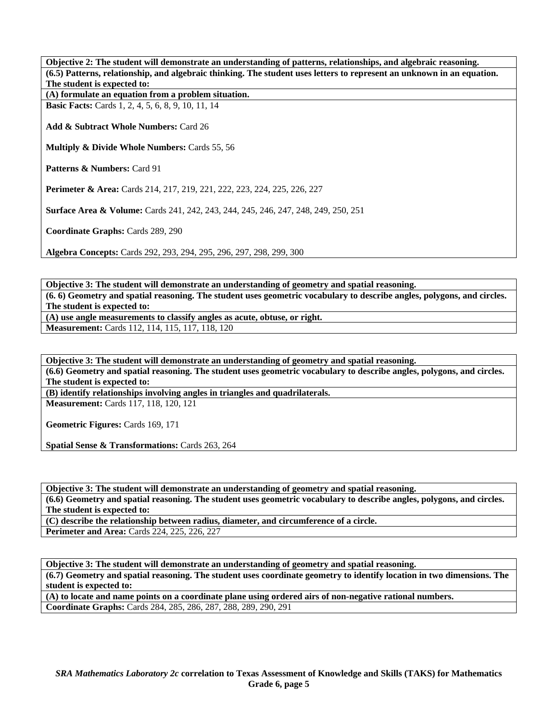**Objective 2: The student will demonstrate an understanding of patterns, relationships, and algebraic reasoning. (6.5) Patterns, relationship, and algebraic thinking. The student uses letters to represent an unknown in an equation. The student is expected to:** 

**(A) formulate an equation from a problem situation.** 

**Basic Facts:** Cards 1, 2, 4, 5, 6, 8, 9, 10, 11, 14

**Add & Subtract Whole Numbers:** Card 26

**Multiply & Divide Whole Numbers:** Cards 55, 56

Patterns & Numbers: Card 91

**Perimeter & Area:** Cards 214, 217, 219, 221, 222, 223, 224, 225, 226, 227

**Surface Area & Volume:** Cards 241, 242, 243, 244, 245, 246, 247, 248, 249, 250, 251

**Coordinate Graphs:** Cards 289, 290

**Algebra Concepts:** Cards 292, 293, 294, 295, 296, 297, 298, 299, 300

**Objective 3: The student will demonstrate an understanding of geometry and spatial reasoning. (6. 6) Geometry and spatial reasoning. The student uses geometric vocabulary to describe angles, polygons, and circles. The student is expected to: (A) use angle measurements to classify angles as acute, obtuse, or right.** 

**Measurement:** Cards 112, 114, 115, 117, 118, 120

**Objective 3: The student will demonstrate an understanding of geometry and spatial reasoning.** 

**(6.6) Geometry and spatial reasoning. The student uses geometric vocabulary to describe angles, polygons, and circles. The student is expected to:** 

**(B) identify relationships involving angles in triangles and quadrilaterals.** 

**Measurement:** Cards 117, 118, 120, 121

**Geometric Figures:** Cards 169, 171

**Spatial Sense & Transformations:** Cards 263, 264

**Objective 3: The student will demonstrate an understanding of geometry and spatial reasoning.** 

**(6.6) Geometry and spatial reasoning. The student uses geometric vocabulary to describe angles, polygons, and circles. The student is expected to:** 

**(C) describe the relationship between radius, diameter, and circumference of a circle.** 

**Perimeter and Area:** Cards 224, 225, 226, 227

**Objective 3: The student will demonstrate an understanding of geometry and spatial reasoning.** 

**(6.7) Geometry and spatial reasoning. The student uses coordinate geometry to identify location in two dimensions. The student is expected to:** 

**(A) to locate and name points on a coordinate plane using ordered airs of non-negative rational numbers. Coordinate Graphs:** Cards 284, 285, 286, 287, 288, 289, 290, 291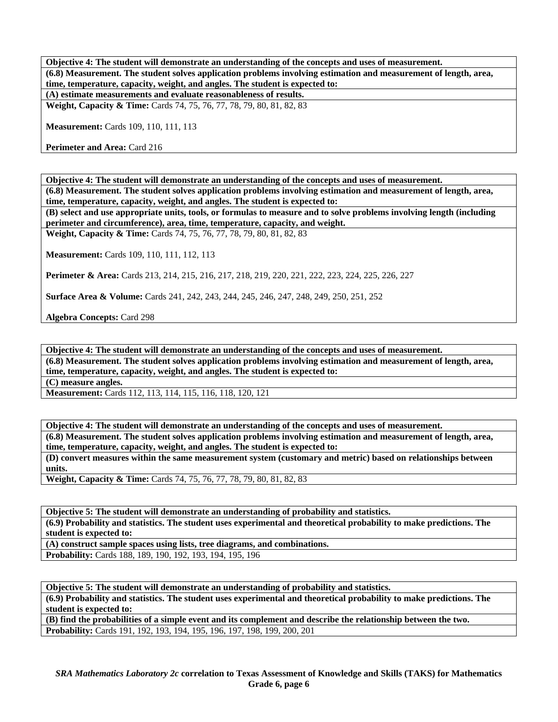**Objective 4: The student will demonstrate an understanding of the concepts and uses of measurement. (6.8) Measurement. The student solves application problems involving estimation and measurement of length, area, time, temperature, capacity, weight, and angles. The student is expected to: (A) estimate measurements and evaluate reasonableness of results.** 

**Weight, Capacity & Time:** Cards 74, 75, 76, 77, 78, 79, 80, 81, 82, 83

**Measurement:** Cards 109, 110, 111, 113

**Perimeter and Area: Card 216** 

**Objective 4: The student will demonstrate an understanding of the concepts and uses of measurement. (6.8) Measurement. The student solves application problems involving estimation and measurement of length, area, time, temperature, capacity, weight, and angles. The student is expected to:** 

**(B) select and use appropriate units, tools, or formulas to measure and to solve problems involving length (including perimeter and circumference), area, time, temperature, capacity, and weight.** 

**Weight, Capacity & Time:** Cards 74, 75, 76, 77, 78, 79, 80, 81, 82, 83

**Measurement:** Cards 109, 110, 111, 112, 113

**Perimeter & Area:** Cards 213, 214, 215, 216, 217, 218, 219, 220, 221, 222, 223, 224, 225, 226, 227

**Surface Area & Volume:** Cards 241, 242, 243, 244, 245, 246, 247, 248, 249, 250, 251, 252

**Algebra Concepts:** Card 298

**Objective 4: The student will demonstrate an understanding of the concepts and uses of measurement.** 

**(6.8) Measurement. The student solves application problems involving estimation and measurement of length, area, time, temperature, capacity, weight, and angles. The student is expected to:** 

**(C) measure angles.** 

**Measurement:** Cards 112, 113, 114, 115, 116, 118, 120, 121

**Objective 4: The student will demonstrate an understanding of the concepts and uses of measurement. (6.8) Measurement. The student solves application problems involving estimation and measurement of length, area, time, temperature, capacity, weight, and angles. The student is expected to:** 

**(D) convert measures within the same measurement system (customary and metric) based on relationships between units.** 

**Weight, Capacity & Time:** Cards 74, 75, 76, 77, 78, 79, 80, 81, 82, 83

**Objective 5: The student will demonstrate an understanding of probability and statistics. (6.9) Probability and statistics. The student uses experimental and theoretical probability to make predictions. The student is expected to:** 

**(A) construct sample spaces using lists, tree diagrams, and combinations.** 

**Probability:** Cards 188, 189, 190, 192, 193, 194, 195, 196

**Objective 5: The student will demonstrate an understanding of probability and statistics. (6.9) Probability and statistics. The student uses experimental and theoretical probability to make predictions. The student is expected to:** 

**(B) find the probabilities of a simple event and its complement and describe the relationship between the two. Probability:** Cards 191, 192, 193, 194, 195, 196, 197, 198, 199, 200, 201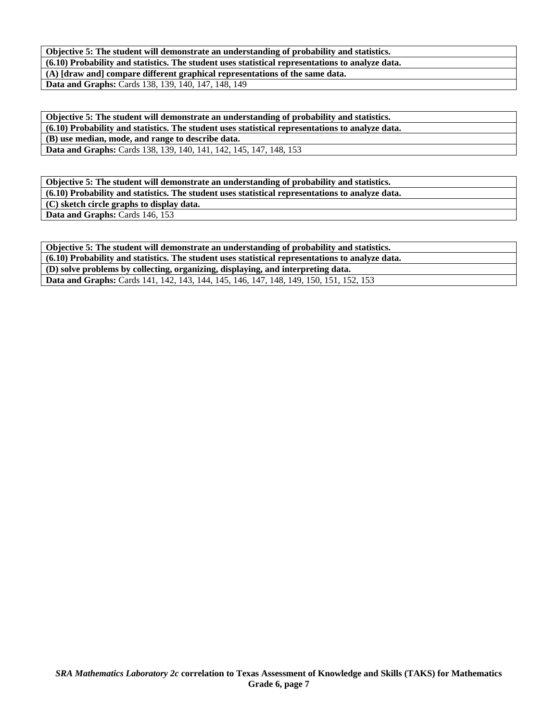**Objective 5: The student will demonstrate an understanding of probability and statistics. (6.10) Probability and statistics. The student uses statistical representations to analyze data. (A) [draw and] compare different graphical representations of the same data. Data and Graphs:** Cards 138, 139, 140, 147, 148, 149

**Objective 5: The student will demonstrate an understanding of probability and statistics. (6.10) Probability and statistics. The student uses statistical representations to analyze data. (B) use median, mode, and range to describe data.** 

Data and Graphs: Cards 138, 139, 140, 141, 142, 145, 147, 148, 153

**Objective 5: The student will demonstrate an understanding of probability and statistics. (6.10) Probability and statistics. The student uses statistical representations to analyze data. (C) sketch circle graphs to display data.**  Data and Graphs: Cards 146, 153

**Objective 5: The student will demonstrate an understanding of probability and statistics. (6.10) Probability and statistics. The student uses statistical representations to analyze data. (D) solve problems by collecting, organizing, displaying, and interpreting data. Data and Graphs:** Cards 141, 142, 143, 144, 145, 146, 147, 148, 149, 150, 151, 152, 153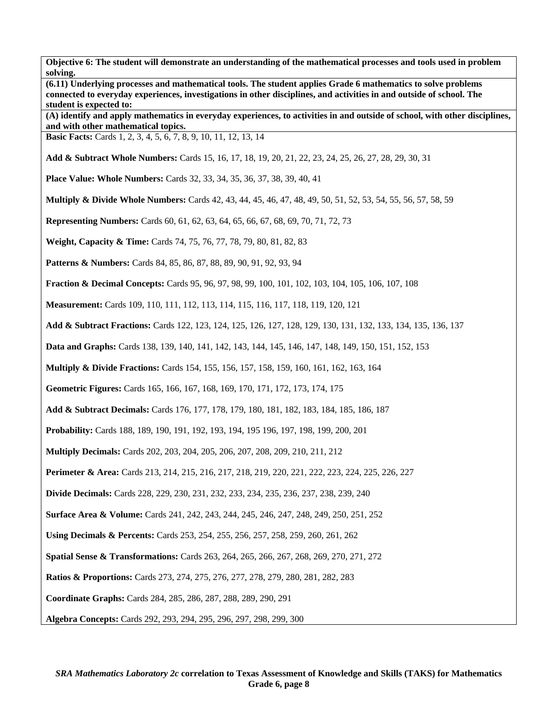| 5011146<br>(6.11) Underlying processes and mathematical tools. The student applies Grade 6 mathematics to solve problems<br>connected to everyday experiences, investigations in other disciplines, and activities in and outside of school. The |
|--------------------------------------------------------------------------------------------------------------------------------------------------------------------------------------------------------------------------------------------------|
| student is expected to:<br>(A) identify and apply mathematics in everyday experiences, to activities in and outside of school, with other disciplines,<br>and with other mathematical topics.                                                    |
| <b>Basic Facts:</b> Cards 1, 2, 3, 4, 5, 6, 7, 8, 9, 10, 11, 12, 13, 14                                                                                                                                                                          |
| Add & Subtract Whole Numbers: Cards 15, 16, 17, 18, 19, 20, 21, 22, 23, 24, 25, 26, 27, 28, 29, 30, 31                                                                                                                                           |
| <b>Place Value: Whole Numbers:</b> Cards 32, 33, 34, 35, 36, 37, 38, 39, 40, 41                                                                                                                                                                  |
| <b>Multiply &amp; Divide Whole Numbers:</b> Cards 42, 43, 44, 45, 46, 47, 48, 49, 50, 51, 52, 53, 54, 55, 56, 57, 58, 59                                                                                                                         |
| <b>Representing Numbers:</b> Cards 60, 61, 62, 63, 64, 65, 66, 67, 68, 69, 70, 71, 72, 73                                                                                                                                                        |
| Weight, Capacity & Time: Cards 74, 75, 76, 77, 78, 79, 80, 81, 82, 83                                                                                                                                                                            |
| Patterns & Numbers: Cards 84, 85, 86, 87, 88, 89, 90, 91, 92, 93, 94                                                                                                                                                                             |
| <b>Fraction &amp; Decimal Concepts:</b> Cards 95, 96, 97, 98, 99, 100, 101, 102, 103, 104, 105, 106, 107, 108                                                                                                                                    |
| Measurement: Cards 109, 110, 111, 112, 113, 114, 115, 116, 117, 118, 119, 120, 121                                                                                                                                                               |
| Add & Subtract Fractions: Cards 122, 123, 124, 125, 126, 127, 128, 129, 130, 131, 132, 133, 134, 135, 136, 137                                                                                                                                   |
| Data and Graphs: Cards 138, 139, 140, 141, 142, 143, 144, 145, 146, 147, 148, 149, 150, 151, 152, 153                                                                                                                                            |
| Multiply & Divide Fractions: Cards 154, 155, 156, 157, 158, 159, 160, 161, 162, 163, 164                                                                                                                                                         |
| Geometric Figures: Cards 165, 166, 167, 168, 169, 170, 171, 172, 173, 174, 175                                                                                                                                                                   |
| Add & Subtract Decimals: Cards 176, 177, 178, 179, 180, 181, 182, 183, 184, 185, 186, 187                                                                                                                                                        |
| Probability: Cards 188, 189, 190, 191, 192, 193, 194, 195 196, 197, 198, 199, 200, 201                                                                                                                                                           |
| <b>Multiply Decimals:</b> Cards 202, 203, 204, 205, 206, 207, 208, 209, 210, 211, 212                                                                                                                                                            |
| <b>Perimeter &amp; Area:</b> Cards 213, 214, 215, 216, 217, 218, 219, 220, 221, 222, 223, 224, 225, 226, 227                                                                                                                                     |
| <b>Divide Decimals:</b> Cards 228, 229, 230, 231, 232, 233, 234, 235, 236, 237, 238, 239, 240                                                                                                                                                    |
| <b>Surface Area &amp; Volume:</b> Cards 241, 242, 243, 244, 245, 246, 247, 248, 249, 250, 251, 252                                                                                                                                               |
| Using Decimals & Percents: Cards 253, 254, 255, 256, 257, 258, 259, 260, 261, 262                                                                                                                                                                |
| Spatial Sense & Transformations: Cards 263, 264, 265, 266, 267, 268, 269, 270, 271, 272                                                                                                                                                          |
| <b>Ratios &amp; Proportions:</b> Cards 273, 274, 275, 276, 277, 278, 279, 280, 281, 282, 283                                                                                                                                                     |
| Coordinate Graphs: Cards 284, 285, 286, 287, 288, 289, 290, 291                                                                                                                                                                                  |
| Algebra Concepts: Cards 292, 293, 294, 295, 296, 297, 298, 299, 300                                                                                                                                                                              |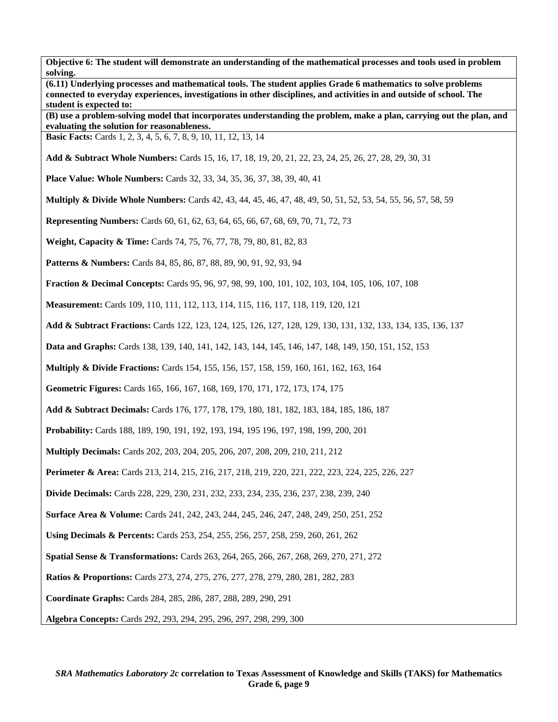| (6.11) Underlying processes and mathematical tools. The student applies Grade 6 mathematics to solve problems<br>connected to everyday experiences, investigations in other disciplines, and activities in and outside of school. The<br>student is expected to: |  |  |
|------------------------------------------------------------------------------------------------------------------------------------------------------------------------------------------------------------------------------------------------------------------|--|--|
| (B) use a problem-solving model that incorporates understanding the problem, make a plan, carrying out the plan, and<br>evaluating the solution for reasonableness.                                                                                              |  |  |
| Basic Facts: Cards 1, 2, 3, 4, 5, 6, 7, 8, 9, 10, 11, 12, 13, 14                                                                                                                                                                                                 |  |  |
| Add & Subtract Whole Numbers: Cards 15, 16, 17, 18, 19, 20, 21, 22, 23, 24, 25, 26, 27, 28, 29, 30, 31                                                                                                                                                           |  |  |
| <b>Place Value: Whole Numbers:</b> Cards 32, 33, 34, 35, 36, 37, 38, 39, 40, 41                                                                                                                                                                                  |  |  |
| <b>Multiply &amp; Divide Whole Numbers:</b> Cards 42, 43, 44, 45, 46, 47, 48, 49, 50, 51, 52, 53, 54, 55, 56, 57, 58, 59                                                                                                                                         |  |  |
| <b>Representing Numbers:</b> Cards 60, 61, 62, 63, 64, 65, 66, 67, 68, 69, 70, 71, 72, 73                                                                                                                                                                        |  |  |
| Weight, Capacity & Time: Cards 74, 75, 76, 77, 78, 79, 80, 81, 82, 83                                                                                                                                                                                            |  |  |
| <b>Patterns &amp; Numbers:</b> Cards 84, 85, 86, 87, 88, 89, 90, 91, 92, 93, 94                                                                                                                                                                                  |  |  |
| <b>Fraction &amp; Decimal Concepts: Cards 95, 96, 97, 98, 99, 100, 101, 102, 103, 104, 105, 106, 107, 108</b>                                                                                                                                                    |  |  |
| Measurement: Cards 109, 110, 111, 112, 113, 114, 115, 116, 117, 118, 119, 120, 121                                                                                                                                                                               |  |  |
| Add & Subtract Fractions: Cards 122, 123, 124, 125, 126, 127, 128, 129, 130, 131, 132, 133, 134, 135, 136, 137                                                                                                                                                   |  |  |
| Data and Graphs: Cards 138, 139, 140, 141, 142, 143, 144, 145, 146, 147, 148, 149, 150, 151, 152, 153                                                                                                                                                            |  |  |
| <b>Multiply &amp; Divide Fractions:</b> Cards 154, 155, 156, 157, 158, 159, 160, 161, 162, 163, 164                                                                                                                                                              |  |  |
| Geometric Figures: Cards 165, 166, 167, 168, 169, 170, 171, 172, 173, 174, 175                                                                                                                                                                                   |  |  |
| Add & Subtract Decimals: Cards 176, 177, 178, 179, 180, 181, 182, 183, 184, 185, 186, 187                                                                                                                                                                        |  |  |
| Probability: Cards 188, 189, 190, 191, 192, 193, 194, 195 196, 197, 198, 199, 200, 201                                                                                                                                                                           |  |  |
| Multiply Decimals: Cards 202, 203, 204, 205, 206, 207, 208, 209, 210, 211, 212                                                                                                                                                                                   |  |  |
| Perimeter & Area: Cards 213, 214, 215, 216, 217, 218, 219, 220, 221, 222, 223, 224, 225, 226, 227                                                                                                                                                                |  |  |
| Divide Decimals: Cards 228, 229, 230, 231, 232, 233, 234, 235, 236, 237, 238, 239, 240                                                                                                                                                                           |  |  |
| <b>Surface Area &amp; Volume:</b> Cards 241, 242, 243, 244, 245, 246, 247, 248, 249, 250, 251, 252                                                                                                                                                               |  |  |
| Using Decimals & Percents: Cards 253, 254, 255, 256, 257, 258, 259, 260, 261, 262                                                                                                                                                                                |  |  |
| Spatial Sense & Transformations: Cards 263, 264, 265, 266, 267, 268, 269, 270, 271, 272                                                                                                                                                                          |  |  |
| <b>Ratios &amp; Proportions:</b> Cards 273, 274, 275, 276, 277, 278, 279, 280, 281, 282, 283                                                                                                                                                                     |  |  |
| Coordinate Graphs: Cards 284, 285, 286, 287, 288, 289, 290, 291                                                                                                                                                                                                  |  |  |
| Algebra Concepts: Cards 292, 293, 294, 295, 296, 297, 298, 299, 300                                                                                                                                                                                              |  |  |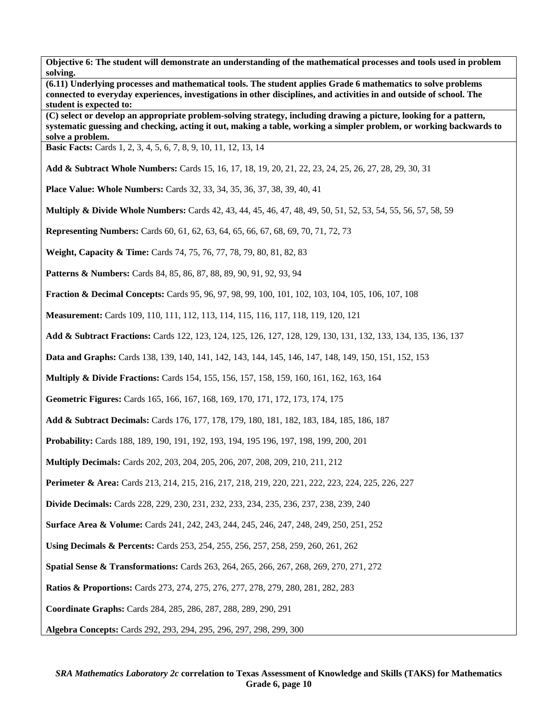**(6.11) Underlying processes and mathematical tools. The student applies Grade 6 mathematics to solve problems connected to everyday experiences, investigations in other disciplines, and activities in and outside of school. The student is expected to:** 

**(C) select or develop an appropriate problem-solving strategy, including drawing a picture, looking for a pattern, systematic guessing and checking, acting it out, making a table, working a simpler problem, or working backwards to solve a problem.** 

**Basic Facts:** Cards 1, 2, 3, 4, 5, 6, 7, 8, 9, 10, 11, 12, 13, 14

**Add & Subtract Whole Numbers:** Cards 15, 16, 17, 18, 19, 20, 21, 22, 23, 24, 25, 26, 27, 28, 29, 30, 31

**Place Value: Whole Numbers:** Cards 32, 33, 34, 35, 36, 37, 38, 39, 40, 41

**Multiply & Divide Whole Numbers:** Cards 42, 43, 44, 45, 46, 47, 48, 49, 50, 51, 52, 53, 54, 55, 56, 57, 58, 59

**Representing Numbers:** Cards 60, 61, 62, 63, 64, 65, 66, 67, 68, 69, 70, 71, 72, 73

**Weight, Capacity & Time:** Cards 74, 75, 76, 77, 78, 79, 80, 81, 82, 83

Patterns & Numbers: Cards 84, 85, 86, 87, 88, 89, 90, 91, 92, 93, 94

**Fraction & Decimal Concepts:** Cards 95, 96, 97, 98, 99, 100, 101, 102, 103, 104, 105, 106, 107, 108

**Measurement:** Cards 109, 110, 111, 112, 113, 114, 115, 116, 117, 118, 119, 120, 121

**Add & Subtract Fractions:** Cards 122, 123, 124, 125, 126, 127, 128, 129, 130, 131, 132, 133, 134, 135, 136, 137

**Data and Graphs:** Cards 138, 139, 140, 141, 142, 143, 144, 145, 146, 147, 148, 149, 150, 151, 152, 153

**Multiply & Divide Fractions:** Cards 154, 155, 156, 157, 158, 159, 160, 161, 162, 163, 164

**Geometric Figures:** Cards 165, 166, 167, 168, 169, 170, 171, 172, 173, 174, 175

**Add & Subtract Decimals:** Cards 176, 177, 178, 179, 180, 181, 182, 183, 184, 185, 186, 187

**Probability:** Cards 188, 189, 190, 191, 192, 193, 194, 195 196, 197, 198, 199, 200, 201

**Multiply Decimals:** Cards 202, 203, 204, 205, 206, 207, 208, 209, 210, 211, 212

**Perimeter & Area:** Cards 213, 214, 215, 216, 217, 218, 219, 220, 221, 222, 223, 224, 225, 226, 227

**Divide Decimals:** Cards 228, 229, 230, 231, 232, 233, 234, 235, 236, 237, 238, 239, 240

**Surface Area & Volume:** Cards 241, 242, 243, 244, 245, 246, 247, 248, 249, 250, 251, 252

**Using Decimals & Percents:** Cards 253, 254, 255, 256, 257, 258, 259, 260, 261, 262

**Spatial Sense & Transformations:** Cards 263, 264, 265, 266, 267, 268, 269, 270, 271, 272

**Ratios & Proportions:** Cards 273, 274, 275, 276, 277, 278, 279, 280, 281, 282, 283

**Coordinate Graphs:** Cards 284, 285, 286, 287, 288, 289, 290, 291

**Algebra Concepts:** Cards 292, 293, 294, 295, 296, 297, 298, 299, 300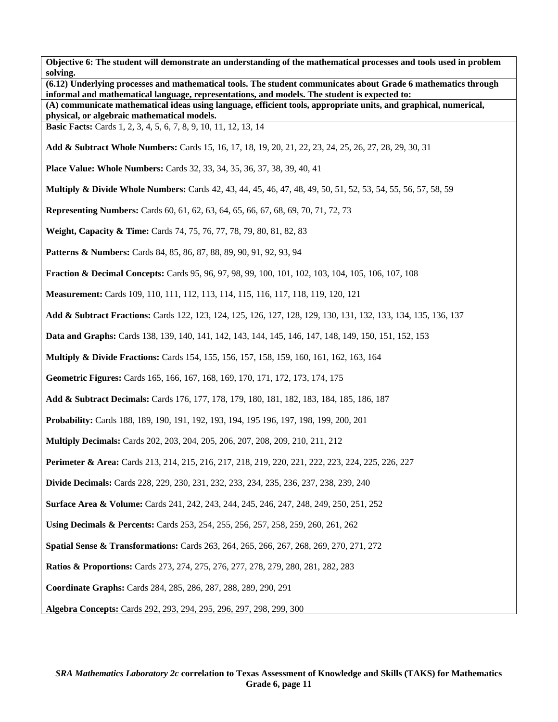**Objective 6: The student will demonstrate an understanding of the mathematical processes and tools used in problem solving. (6.12) Underlying processes and mathematical tools. The student communicates about Grade 6 mathematics through informal and mathematical language, representations, and models. The student is expected to: (A) communicate mathematical ideas using language, efficient tools, appropriate units, and graphical, numerical, physical, or algebraic mathematical models. Basic Facts:** Cards 1, 2, 3, 4, 5, 6, 7, 8, 9, 10, 11, 12, 13, 14 **Add & Subtract Whole Numbers:** Cards 15, 16, 17, 18, 19, 20, 21, 22, 23, 24, 25, 26, 27, 28, 29, 30, 31 **Place Value: Whole Numbers:** Cards 32, 33, 34, 35, 36, 37, 38, 39, 40, 41 **Multiply & Divide Whole Numbers:** Cards 42, 43, 44, 45, 46, 47, 48, 49, 50, 51, 52, 53, 54, 55, 56, 57, 58, 59 **Representing Numbers:** Cards 60, 61, 62, 63, 64, 65, 66, 67, 68, 69, 70, 71, 72, 73 **Weight, Capacity & Time:** Cards 74, 75, 76, 77, 78, 79, 80, 81, 82, 83 **Patterns & Numbers:** Cards 84, 85, 86, 87, 88, 89, 90, 91, 92, 93, 94 **Fraction & Decimal Concepts:** Cards 95, 96, 97, 98, 99, 100, 101, 102, 103, 104, 105, 106, 107, 108 **Measurement:** Cards 109, 110, 111, 112, 113, 114, 115, 116, 117, 118, 119, 120, 121 **Add & Subtract Fractions:** Cards 122, 123, 124, 125, 126, 127, 128, 129, 130, 131, 132, 133, 134, 135, 136, 137 **Data and Graphs:** Cards 138, 139, 140, 141, 142, 143, 144, 145, 146, 147, 148, 149, 150, 151, 152, 153 **Multiply & Divide Fractions:** Cards 154, 155, 156, 157, 158, 159, 160, 161, 162, 163, 164 **Geometric Figures:** Cards 165, 166, 167, 168, 169, 170, 171, 172, 173, 174, 175 **Add & Subtract Decimals:** Cards 176, 177, 178, 179, 180, 181, 182, 183, 184, 185, 186, 187 **Probability:** Cards 188, 189, 190, 191, 192, 193, 194, 195 196, 197, 198, 199, 200, 201 **Multiply Decimals:** Cards 202, 203, 204, 205, 206, 207, 208, 209, 210, 211, 212 **Perimeter & Area:** Cards 213, 214, 215, 216, 217, 218, 219, 220, 221, 222, 223, 224, 225, 226, 227 **Divide Decimals:** Cards 228, 229, 230, 231, 232, 233, 234, 235, 236, 237, 238, 239, 240 **Surface Area & Volume:** Cards 241, 242, 243, 244, 245, 246, 247, 248, 249, 250, 251, 252 **Using Decimals & Percents:** Cards 253, 254, 255, 256, 257, 258, 259, 260, 261, 262 **Spatial Sense & Transformations:** Cards 263, 264, 265, 266, 267, 268, 269, 270, 271, 272 **Ratios & Proportions:** Cards 273, 274, 275, 276, 277, 278, 279, 280, 281, 282, 283 **Coordinate Graphs:** Cards 284, 285, 286, 287, 288, 289, 290, 291 **Algebra Concepts:** Cards 292, 293, 294, 295, 296, 297, 298, 299, 300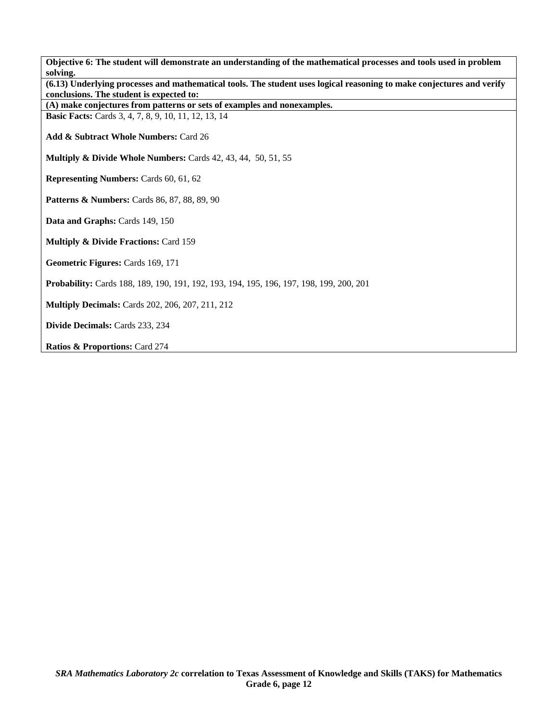| Objective 6: The student will demonstrate an understanding of the mathematical processes and tools used in problem                                                |
|-------------------------------------------------------------------------------------------------------------------------------------------------------------------|
| solving.                                                                                                                                                          |
| (6.13) Underlying processes and mathematical tools. The student uses logical reasoning to make conjectures and verify<br>conclusions. The student is expected to: |
| (A) make conjectures from patterns or sets of examples and nonexamples.                                                                                           |
| <b>Basic Facts:</b> Cards 3, 4, 7, 8, 9, 10, 11, 12, 13, 14                                                                                                       |
|                                                                                                                                                                   |
| Add & Subtract Whole Numbers: Card 26                                                                                                                             |
|                                                                                                                                                                   |
| Multiply & Divide Whole Numbers: Cards 42, 43, 44, 50, 51, 55                                                                                                     |
|                                                                                                                                                                   |
| <b>Representing Numbers: Cards 60, 61, 62</b>                                                                                                                     |
|                                                                                                                                                                   |
| <b>Patterns &amp; Numbers:</b> Cards 86, 87, 88, 89, 90                                                                                                           |
|                                                                                                                                                                   |
| Data and Graphs: Cards 149, 150                                                                                                                                   |
| <b>Multiply &amp; Divide Fractions: Card 159</b>                                                                                                                  |
|                                                                                                                                                                   |
| Geometric Figures: Cards 169, 171                                                                                                                                 |
|                                                                                                                                                                   |
| Probability: Cards 188, 189, 190, 191, 192, 193, 194, 195, 196, 197, 198, 199, 200, 201                                                                           |
|                                                                                                                                                                   |
| <b>Multiply Decimals:</b> Cards 202, 206, 207, 211, 212                                                                                                           |
|                                                                                                                                                                   |
| Divide Decimals: Cards 233, 234                                                                                                                                   |
|                                                                                                                                                                   |
| Ratios & Proportions: Card 274                                                                                                                                    |